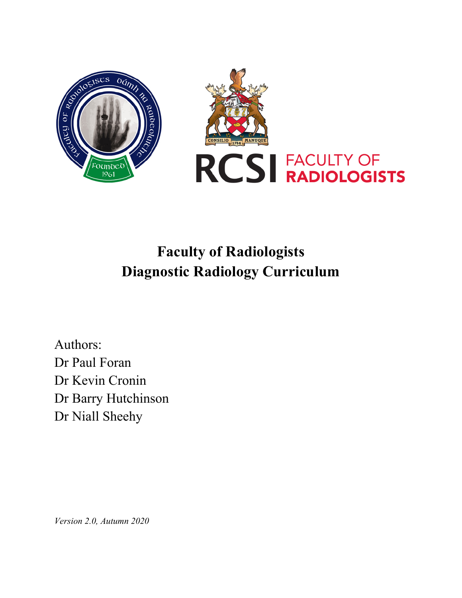

# **Faculty of Radiologists Diagnostic Radiology Curriculum**

Authors: Dr Paul Foran Dr Kevin Cronin Dr Barry Hutchinson Dr Niall Sheehy

*Version 2.0, Autumn 2020*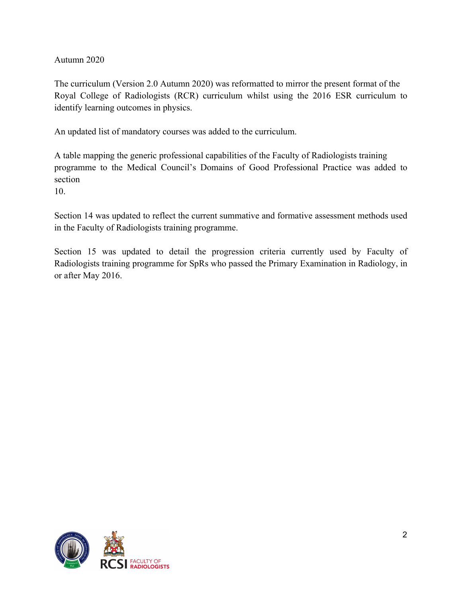Autumn 2020

The curriculum (Version 2.0 Autumn 2020) was reformatted to mirror the present format of the Royal College of Radiologists (RCR) curriculum whilst using the 2016 ESR curriculum to identify learning outcomes in physics.

An updated list of mandatory courses was added to the curriculum.

A table mapping the generic professional capabilities of the Faculty of Radiologists training programme to the Medical Council's Domains of Good Professional Practice was added to section

10.

Section 14 was updated to reflect the current summative and formative assessment methods used in the Faculty of Radiologists training programme.

Section 15 was updated to detail the progression criteria currently used by Faculty of Radiologists training programme for SpRs who passed the Primary Examination in Radiology, in or after May 2016.

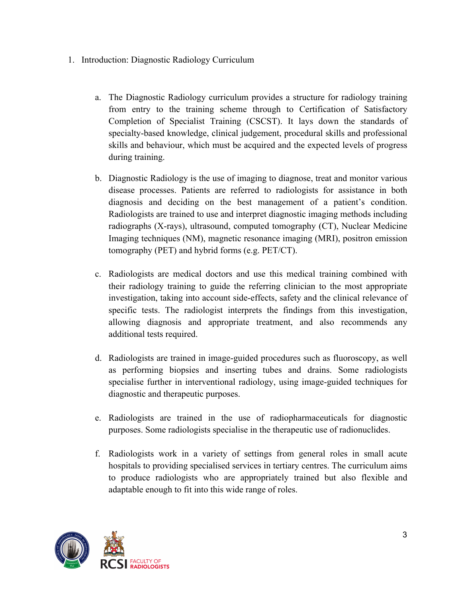- 1. Introduction: Diagnostic Radiology Curriculum
	- a. The Diagnostic Radiology curriculum provides a structure for radiology training from entry to the training scheme through to Certification of Satisfactory Completion of Specialist Training (CSCST). It lays down the standards of specialty-based knowledge, clinical judgement, procedural skills and professional skills and behaviour, which must be acquired and the expected levels of progress during training.
	- b. Diagnostic Radiology is the use of imaging to diagnose, treat and monitor various disease processes. Patients are referred to radiologists for assistance in both diagnosis and deciding on the best management of a patient's condition. Radiologists are trained to use and interpret diagnostic imaging methods including radiographs (X-rays), ultrasound, computed tomography (CT), Nuclear Medicine Imaging techniques (NM), magnetic resonance imaging (MRI), positron emission tomography (PET) and hybrid forms (e.g. PET/CT).
	- c. Radiologists are medical doctors and use this medical training combined with their radiology training to guide the referring clinician to the most appropriate investigation, taking into account side-effects, safety and the clinical relevance of specific tests. The radiologist interprets the findings from this investigation, allowing diagnosis and appropriate treatment, and also recommends any additional tests required.
	- d. Radiologists are trained in image-guided procedures such as fluoroscopy, as well as performing biopsies and inserting tubes and drains. Some radiologists specialise further in interventional radiology, using image-guided techniques for diagnostic and therapeutic purposes.
	- e. Radiologists are trained in the use of radiopharmaceuticals for diagnostic purposes. Some radiologists specialise in the therapeutic use of radionuclides.
	- f. Radiologists work in a variety of settings from general roles in small acute hospitals to providing specialised services in tertiary centres. The curriculum aims to produce radiologists who are appropriately trained but also flexible and adaptable enough to fit into this wide range of roles.

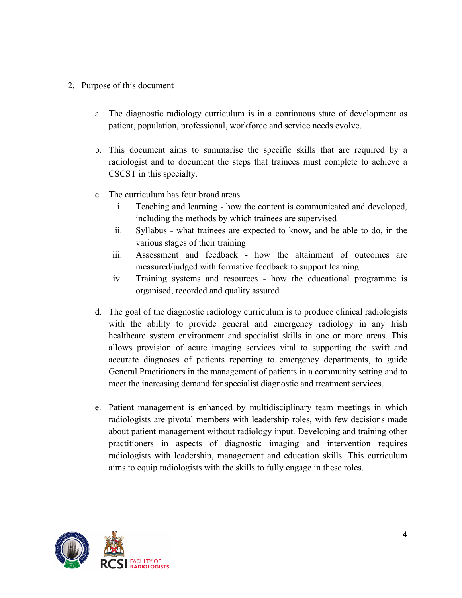- 2. Purpose of this document
	- a. The diagnostic radiology curriculum is in a continuous state of development as patient, population, professional, workforce and service needs evolve.
	- b. This document aims to summarise the specific skills that are required by a radiologist and to document the steps that trainees must complete to achieve a CSCST in this specialty.
	- c. The curriculum has four broad areas
		- i. Teaching and learning how the content is communicated and developed, including the methods by which trainees are supervised
		- ii. Syllabus what trainees are expected to know, and be able to do, in the various stages of their training
		- iii. Assessment and feedback how the attainment of outcomes are measured/judged with formative feedback to support learning
		- iv. Training systems and resources how the educational programme is organised, recorded and quality assured
	- d. The goal of the diagnostic radiology curriculum is to produce clinical radiologists with the ability to provide general and emergency radiology in any Irish healthcare system environment and specialist skills in one or more areas. This allows provision of acute imaging services vital to supporting the swift and accurate diagnoses of patients reporting to emergency departments, to guide General Practitioners in the management of patients in a community setting and to meet the increasing demand for specialist diagnostic and treatment services.
	- e. Patient management is enhanced by multidisciplinary team meetings in which radiologists are pivotal members with leadership roles, with few decisions made about patient management without radiology input. Developing and training other practitioners in aspects of diagnostic imaging and intervention requires radiologists with leadership, management and education skills. This curriculum aims to equip radiologists with the skills to fully engage in these roles.

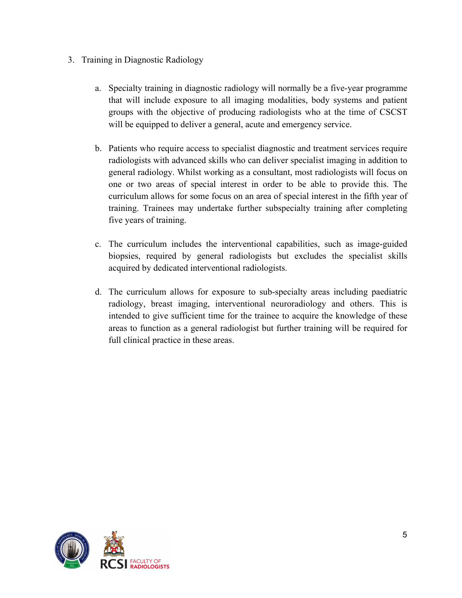- 3. Training in Diagnostic Radiology
	- a. Specialty training in diagnostic radiology will normally be a five-year programme that will include exposure to all imaging modalities, body systems and patient groups with the objective of producing radiologists who at the time of CSCST will be equipped to deliver a general, acute and emergency service.
	- b. Patients who require access to specialist diagnostic and treatment services require radiologists with advanced skills who can deliver specialist imaging in addition to general radiology. Whilst working as a consultant, most radiologists will focus on one or two areas of special interest in order to be able to provide this. The curriculum allows for some focus on an area of special interest in the fifth year of training. Trainees may undertake further subspecialty training after completing five years of training.
	- c. The curriculum includes the interventional capabilities, such as image-guided biopsies, required by general radiologists but excludes the specialist skills acquired by dedicated interventional radiologists.
	- d. The curriculum allows for exposure to sub-specialty areas including paediatric radiology, breast imaging, interventional neuroradiology and others. This is intended to give sufficient time for the trainee to acquire the knowledge of these areas to function as a general radiologist but further training will be required for full clinical practice in these areas.

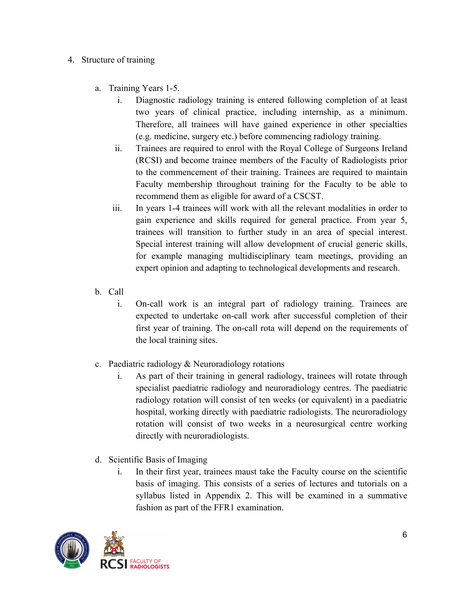#### 4. Structure of training

- a. Training Years 1-5.
	- i. Diagnostic radiology training is entered following completion of at least two years of clinical practice, including internship, as a minimum. Therefore, all trainees will have gained experience in other specialties (e.g. medicine, surgery etc.) before commencing radiology training.
	- ii. Trainees are required to enrol with the Royal College of Surgeons Ireland (RCSI) and become trainee members of the Faculty of Radiologists prior to the commencement of their training. Trainees are required to maintain Faculty membership throughout training for the Faculty to be able to recommend them as eligible for award of a CSCST.
	- iii. In years 1-4 trainees will work with all the relevant modalities in order to gain experience and skills required for general practice. From year 5, trainees will transition to further study in an area of special interest. Special interest training will allow development of crucial generic skills, for example managing multidisciplinary team meetings, providing an expert opinion and adapting to technological developments and research.
- b. Call
	- i. On-call work is an integral part of radiology training. Trainees are expected to undertake on-call work after successful completion of their first year of training. The on-call rota will depend on the requirements of the local training sites.
- c. Paediatric radiology & Neuroradiology rotations
	- i. As part of their training in general radiology, trainees will rotate through specialist paediatric radiology and neuroradiology centres. The paediatric radiology rotation will consist of ten weeks (or equivalent) in a paediatric hospital, working directly with paediatric radiologists. The neuroradiology rotation will consist of two weeks in a neurosurgical centre working directly with neuroradiologists.
- d. Scientific Basis of Imaging
	- i. In their first year, trainees maust take the Faculty course on the scientific basis of imaging. This consists of a series of lectures and tutorials on a syllabus listed in Appendix 2. This will be examined in a summative fashion as part of the FFR1 examination.

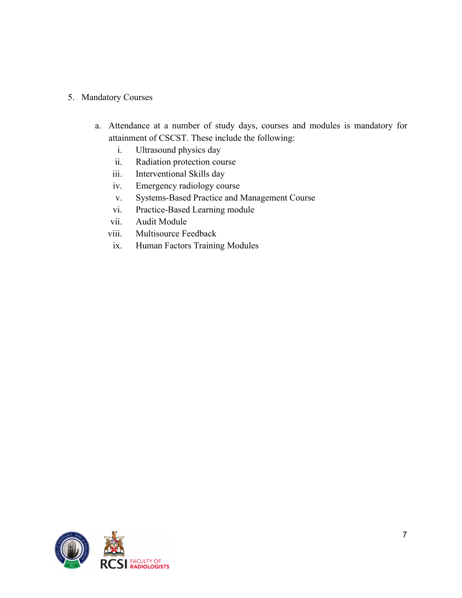#### 5. Mandatory Courses

- a. Attendance at a number of study days, courses and modules is mandatory for attainment of CSCST. These include the following:
	- i. Ultrasound physics day
	- ii. Radiation protection course
	- iii. Interventional Skills day
	- iv. Emergency radiology course
	- v. Systems-Based Practice and Management Course
	- vi. Practice-Based Learning module
	- vii. Audit Module
	- viii. Multisource Feedback
	- ix. Human Factors Training Modules

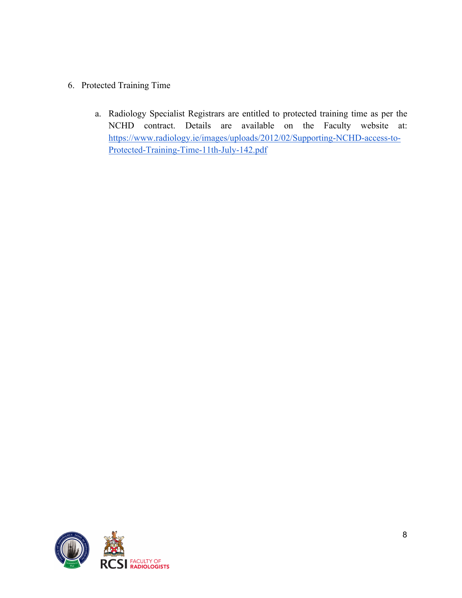- 6. Protected Training Time
	- a. Radiology Specialist Registrars are entitled to protected training time as per the NCHD contract. Details are available on the Faculty website at: https://www.radiology.ie/images/uploads/2012/02/Supporting-NCHD-access-to-Protected-Training-Time-11th-July-142.pdf

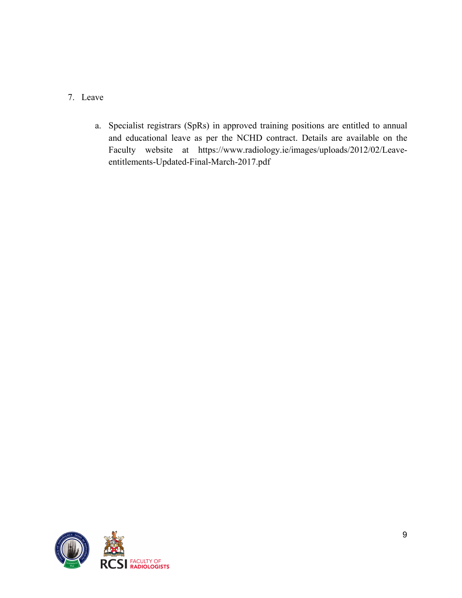- 7. Leave
	- a. Specialist registrars (SpRs) in approved training positions are entitled to annual and educational leave as per the NCHD contract. Details are available on the Faculty website at https://www.radiology.ie/images/uploads/2012/02/Leaveentitlements-Updated-Final-March-2017.pdf

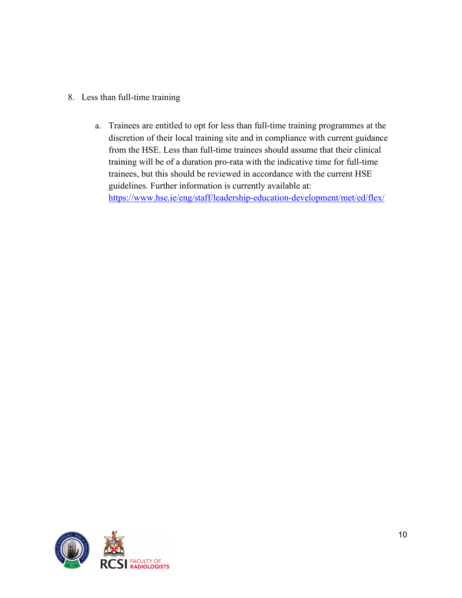- 8. Less than full-time training
	- a. Trainees are entitled to opt for less than full-time training programmes at the discretion of their local training site and in compliance with current guidance from the HSE. Less than full-time trainees should assume that their clinical training will be of a duration pro-rata with the indicative time for full-time trainees, but this should be reviewed in accordance with the current HSE guidelines. Further information is currently available at: https://www.hse.ie/eng/staff/leadership-education-development/met/ed/flex/

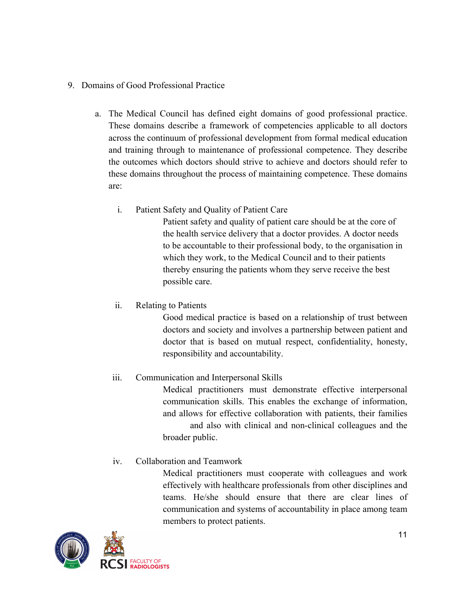#### 9. Domains of Good Professional Practice

- a. The Medical Council has defined eight domains of good professional practice. These domains describe a framework of competencies applicable to all doctors across the continuum of professional development from formal medical education and training through to maintenance of professional competence. They describe the outcomes which doctors should strive to achieve and doctors should refer to these domains throughout the process of maintaining competence. These domains are:
	- i. Patient Safety and Quality of Patient Care

Patient safety and quality of patient care should be at the core of the health service delivery that a doctor provides. A doctor needs to be accountable to their professional body, to the organisation in which they work, to the Medical Council and to their patients thereby ensuring the patients whom they serve receive the best possible care.

ii. Relating to Patients

Good medical practice is based on a relationship of trust between doctors and society and involves a partnership between patient and doctor that is based on mutual respect, confidentiality, honesty, responsibility and accountability.

# iii. Communication and Interpersonal Skills

Medical practitioners must demonstrate effective interpersonal communication skills. This enables the exchange of information, and allows for effective collaboration with patients, their families and also with clinical and non-clinical colleagues and the broader public.

# iv. Collaboration and Teamwork

Medical practitioners must cooperate with colleagues and work effectively with healthcare professionals from other disciplines and teams. He/she should ensure that there are clear lines of communication and systems of accountability in place among team members to protect patients.

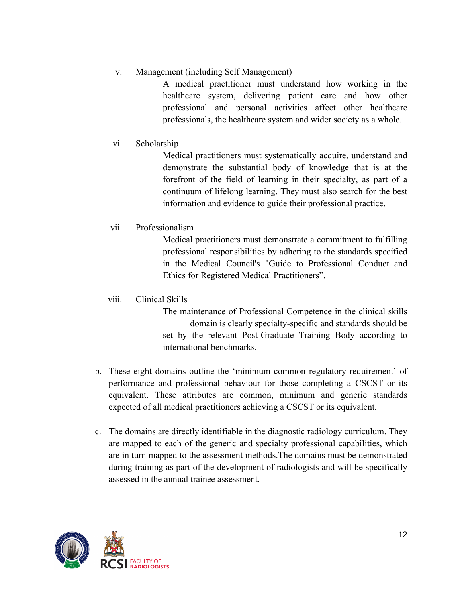## v. Management (including Self Management)

A medical practitioner must understand how working in the healthcare system, delivering patient care and how other professional and personal activities affect other healthcare professionals, the healthcare system and wider society as a whole.

vi. Scholarship

Medical practitioners must systematically acquire, understand and demonstrate the substantial body of knowledge that is at the forefront of the field of learning in their specialty, as part of a continuum of lifelong learning. They must also search for the best information and evidence to guide their professional practice.

# vii. Professionalism

Medical practitioners must demonstrate a commitment to fulfilling professional responsibilities by adhering to the standards specified in the Medical Council's "Guide to Professional Conduct and Ethics for Registered Medical Practitioners".

viii. Clinical Skills

The maintenance of Professional Competence in the clinical skills domain is clearly specialty-specific and standards should be set by the relevant Post-Graduate Training Body according to international benchmarks.

- b. These eight domains outline the 'minimum common regulatory requirement' of performance and professional behaviour for those completing a CSCST or its equivalent. These attributes are common, minimum and generic standards expected of all medical practitioners achieving a CSCST or its equivalent.
- c. The domains are directly identifiable in the diagnostic radiology curriculum. They are mapped to each of the generic and specialty professional capabilities, which are in turn mapped to the assessment methods.The domains must be demonstrated during training as part of the development of radiologists and will be specifically assessed in the annual trainee assessment.

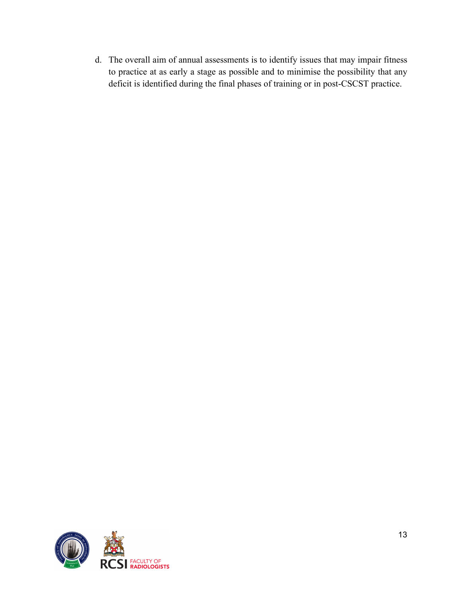d. The overall aim of annual assessments is to identify issues that may impair fitness to practice at as early a stage as possible and to minimise the possibility that any deficit is identified during the final phases of training or in post-CSCST practice.

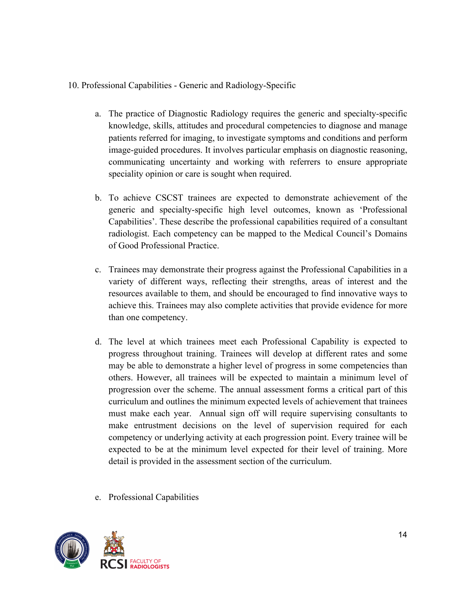#### 10. Professional Capabilities - Generic and Radiology-Specific

- a. The practice of Diagnostic Radiology requires the generic and specialty-specific knowledge, skills, attitudes and procedural competencies to diagnose and manage patients referred for imaging, to investigate symptoms and conditions and perform image-guided procedures. It involves particular emphasis on diagnostic reasoning, communicating uncertainty and working with referrers to ensure appropriate speciality opinion or care is sought when required.
- b. To achieve CSCST trainees are expected to demonstrate achievement of the generic and specialty-specific high level outcomes, known as 'Professional Capabilities'. These describe the professional capabilities required of a consultant radiologist. Each competency can be mapped to the Medical Council's Domains of Good Professional Practice.
- c. Trainees may demonstrate their progress against the Professional Capabilities in a variety of different ways, reflecting their strengths, areas of interest and the resources available to them, and should be encouraged to find innovative ways to achieve this. Trainees may also complete activities that provide evidence for more than one competency.
- d. The level at which trainees meet each Professional Capability is expected to progress throughout training. Trainees will develop at different rates and some may be able to demonstrate a higher level of progress in some competencies than others. However, all trainees will be expected to maintain a minimum level of progression over the scheme. The annual assessment forms a critical part of this curriculum and outlines the minimum expected levels of achievement that trainees must make each year. Annual sign off will require supervising consultants to make entrustment decisions on the level of supervision required for each competency or underlying activity at each progression point. Every trainee will be expected to be at the minimum level expected for their level of training. More detail is provided in the assessment section of the curriculum.
- e. Professional Capabilities

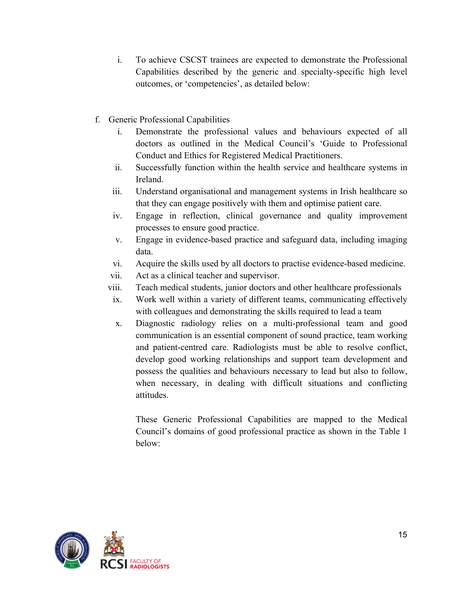- i. To achieve CSCST trainees are expected to demonstrate the Professional Capabilities described by the generic and specialty-specific high level outcomes, or 'competencies', as detailed below:
- f. Generic Professional Capabilities
	- i. Demonstrate the professional values and behaviours expected of all doctors as outlined in the Medical Council's 'Guide to Professional Conduct and Ethics for Registered Medical Practitioners.
	- ii. Successfully function within the health service and healthcare systems in Ireland.
	- iii. Understand organisational and management systems in Irish healthcare so that they can engage positively with them and optimise patient care.
	- iv. Engage in reflection, clinical governance and quality improvement processes to ensure good practice.
	- v. Engage in evidence-based practice and safeguard data, including imaging data.
	- vi. Acquire the skills used by all doctors to practise evidence-based medicine.
	- vii. Act as a clinical teacher and supervisor.
	- viii. Teach medical students, junior doctors and other healthcare professionals
	- ix. Work well within a variety of different teams, communicating effectively with colleagues and demonstrating the skills required to lead a team
	- x. Diagnostic radiology relies on a multi-professional team and good communication is an essential component of sound practice, team working and patient-centred care. Radiologists must be able to resolve conflict, develop good working relationships and support team development and possess the qualities and behaviours necessary to lead but also to follow, when necessary, in dealing with difficult situations and conflicting attitudes.

These Generic Professional Capabilities are mapped to the Medical Council's domains of good professional practice as shown in the Table 1 below:

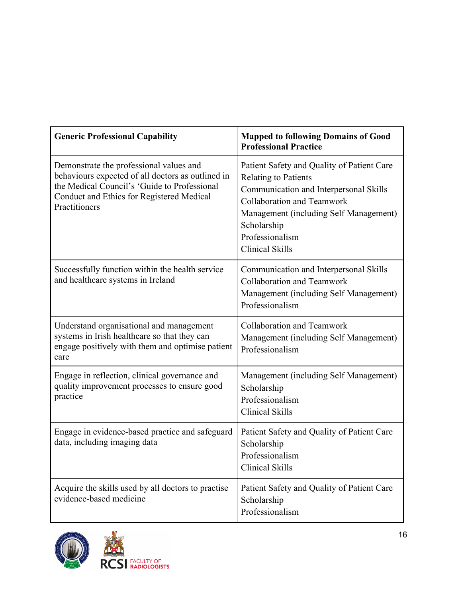| <b>Generic Professional Capability</b>                                                                                                                                                                     | <b>Mapped to following Domains of Good</b><br><b>Professional Practice</b>                                                                                                                                                                                     |
|------------------------------------------------------------------------------------------------------------------------------------------------------------------------------------------------------------|----------------------------------------------------------------------------------------------------------------------------------------------------------------------------------------------------------------------------------------------------------------|
| Demonstrate the professional values and<br>behaviours expected of all doctors as outlined in<br>the Medical Council's 'Guide to Professional<br>Conduct and Ethics for Registered Medical<br>Practitioners | Patient Safety and Quality of Patient Care<br><b>Relating to Patients</b><br>Communication and Interpersonal Skills<br><b>Collaboration and Teamwork</b><br>Management (including Self Management)<br>Scholarship<br>Professionalism<br><b>Clinical Skills</b> |
| Successfully function within the health service<br>and healthcare systems in Ireland                                                                                                                       | Communication and Interpersonal Skills<br><b>Collaboration and Teamwork</b><br>Management (including Self Management)<br>Professionalism                                                                                                                       |
| Understand organisational and management<br>systems in Irish healthcare so that they can<br>engage positively with them and optimise patient<br>care                                                       | <b>Collaboration and Teamwork</b><br>Management (including Self Management)<br>Professionalism                                                                                                                                                                 |
| Engage in reflection, clinical governance and<br>quality improvement processes to ensure good<br>practice                                                                                                  | Management (including Self Management)<br>Scholarship<br>Professionalism<br><b>Clinical Skills</b>                                                                                                                                                             |
| Engage in evidence-based practice and safeguard<br>data, including imaging data                                                                                                                            | Patient Safety and Quality of Patient Care<br>Scholarship<br>Professionalism<br><b>Clinical Skills</b>                                                                                                                                                         |
| Acquire the skills used by all doctors to practise<br>evidence-based medicine                                                                                                                              | Patient Safety and Quality of Patient Care<br>Scholarship<br>Professionalism                                                                                                                                                                                   |



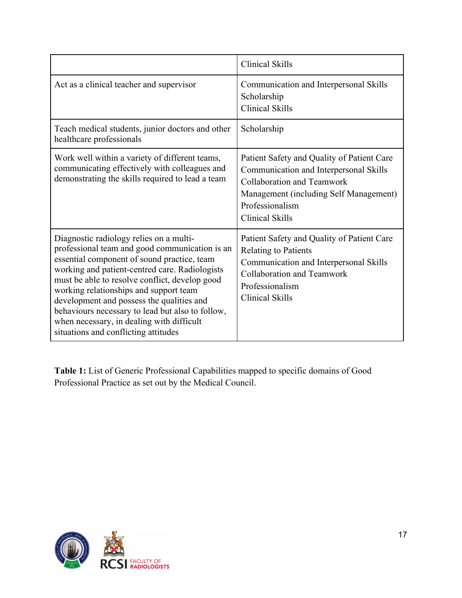|                                                                                                                                                                                                                                                                                                                                                                                                                                                                              | <b>Clinical Skills</b>                                                                                                                                                                                           |
|------------------------------------------------------------------------------------------------------------------------------------------------------------------------------------------------------------------------------------------------------------------------------------------------------------------------------------------------------------------------------------------------------------------------------------------------------------------------------|------------------------------------------------------------------------------------------------------------------------------------------------------------------------------------------------------------------|
| Act as a clinical teacher and supervisor                                                                                                                                                                                                                                                                                                                                                                                                                                     | Communication and Interpersonal Skills<br>Scholarship<br><b>Clinical Skills</b>                                                                                                                                  |
| Teach medical students, junior doctors and other<br>healthcare professionals                                                                                                                                                                                                                                                                                                                                                                                                 | Scholarship                                                                                                                                                                                                      |
| Work well within a variety of different teams,<br>communicating effectively with colleagues and<br>demonstrating the skills required to lead a team                                                                                                                                                                                                                                                                                                                          | Patient Safety and Quality of Patient Care<br>Communication and Interpersonal Skills<br><b>Collaboration and Teamwork</b><br>Management (including Self Management)<br>Professionalism<br><b>Clinical Skills</b> |
| Diagnostic radiology relies on a multi-<br>professional team and good communication is an<br>essential component of sound practice, team<br>working and patient-centred care. Radiologists<br>must be able to resolve conflict, develop good<br>working relationships and support team<br>development and possess the qualities and<br>behaviours necessary to lead but also to follow,<br>when necessary, in dealing with difficult<br>situations and conflicting attitudes | Patient Safety and Quality of Patient Care<br><b>Relating to Patients</b><br>Communication and Interpersonal Skills<br><b>Collaboration and Teamwork</b><br>Professionalism<br><b>Clinical Skills</b>            |

**Table 1:** List of Generic Professional Capabilities mapped to specific domains of Good Professional Practice as set out by the Medical Council.

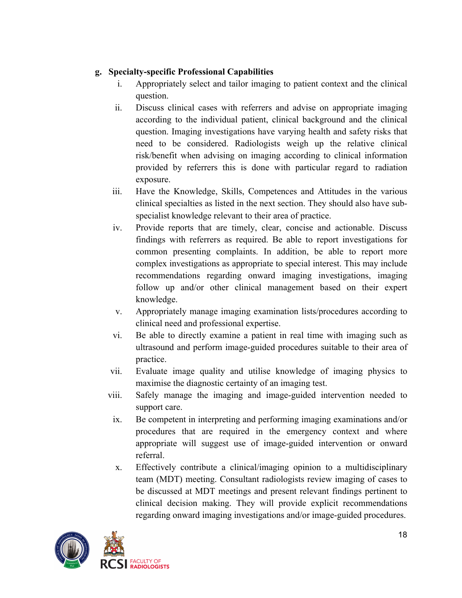## **g. Specialty-specific Professional Capabilities**

- i. Appropriately select and tailor imaging to patient context and the clinical question.
- ii. Discuss clinical cases with referrers and advise on appropriate imaging according to the individual patient, clinical background and the clinical question. Imaging investigations have varying health and safety risks that need to be considered. Radiologists weigh up the relative clinical risk/benefit when advising on imaging according to clinical information provided by referrers this is done with particular regard to radiation exposure.
- iii. Have the Knowledge, Skills, Competences and Attitudes in the various clinical specialties as listed in the next section. They should also have subspecialist knowledge relevant to their area of practice.
- iv. Provide reports that are timely, clear, concise and actionable. Discuss findings with referrers as required. Be able to report investigations for common presenting complaints. In addition, be able to report more complex investigations as appropriate to special interest. This may include recommendations regarding onward imaging investigations, imaging follow up and/or other clinical management based on their expert knowledge.
- v. Appropriately manage imaging examination lists/procedures according to clinical need and professional expertise.
- vi. Be able to directly examine a patient in real time with imaging such as ultrasound and perform image-guided procedures suitable to their area of practice.
- vii. Evaluate image quality and utilise knowledge of imaging physics to maximise the diagnostic certainty of an imaging test.
- viii. Safely manage the imaging and image-guided intervention needed to support care.
- ix. Be competent in interpreting and performing imaging examinations and/or procedures that are required in the emergency context and where appropriate will suggest use of image-guided intervention or onward referral.
- x. Effectively contribute a clinical/imaging opinion to a multidisciplinary team (MDT) meeting. Consultant radiologists review imaging of cases to be discussed at MDT meetings and present relevant findings pertinent to clinical decision making. They will provide explicit recommendations regarding onward imaging investigations and/or image-guided procedures.

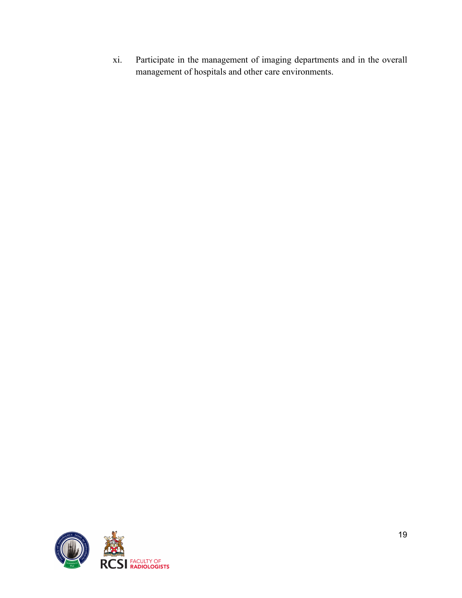xi. Participate in the management of imaging departments and in the overall management of hospitals and other care environments.

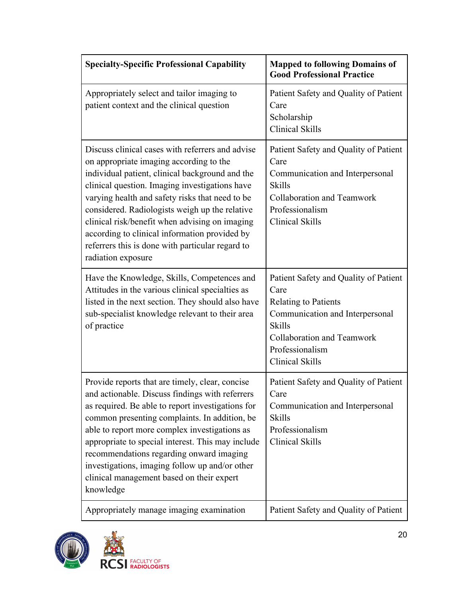| <b>Specialty-Specific Professional Capability</b>                                                                                                                                                                                                                                                                                                                                                                                                                                  | <b>Mapped to following Domains of</b><br><b>Good Professional Practice</b>                                                                                                                                         |
|------------------------------------------------------------------------------------------------------------------------------------------------------------------------------------------------------------------------------------------------------------------------------------------------------------------------------------------------------------------------------------------------------------------------------------------------------------------------------------|--------------------------------------------------------------------------------------------------------------------------------------------------------------------------------------------------------------------|
| Appropriately select and tailor imaging to<br>patient context and the clinical question                                                                                                                                                                                                                                                                                                                                                                                            | Patient Safety and Quality of Patient<br>Care<br>Scholarship<br><b>Clinical Skills</b>                                                                                                                             |
| Discuss clinical cases with referrers and advise<br>on appropriate imaging according to the<br>individual patient, clinical background and the<br>clinical question. Imaging investigations have<br>varying health and safety risks that need to be<br>considered. Radiologists weigh up the relative<br>clinical risk/benefit when advising on imaging<br>according to clinical information provided by<br>referrers this is done with particular regard to<br>radiation exposure | Patient Safety and Quality of Patient<br>Care<br>Communication and Interpersonal<br><b>Skills</b><br>Collaboration and Teamwork<br>Professionalism<br><b>Clinical Skills</b>                                       |
| Have the Knowledge, Skills, Competences and<br>Attitudes in the various clinical specialties as<br>listed in the next section. They should also have<br>sub-specialist knowledge relevant to their area<br>of practice                                                                                                                                                                                                                                                             | Patient Safety and Quality of Patient<br>Care<br><b>Relating to Patients</b><br>Communication and Interpersonal<br><b>Skills</b><br><b>Collaboration and Teamwork</b><br>Professionalism<br><b>Clinical Skills</b> |
| Provide reports that are timely, clear, concise<br>and actionable. Discuss findings with referrers<br>as required. Be able to report investigations for<br>common presenting complaints. In addition, be<br>able to report more complex investigations as<br>appropriate to special interest. This may include<br>recommendations regarding onward imaging<br>investigations, imaging follow up and/or other<br>clinical management based on their expert<br>knowledge             | Patient Safety and Quality of Patient<br>Care<br>Communication and Interpersonal<br><b>Skills</b><br>Professionalism<br>Clinical Skills                                                                            |
| Appropriately manage imaging examination                                                                                                                                                                                                                                                                                                                                                                                                                                           | Patient Safety and Quality of Patient                                                                                                                                                                              |

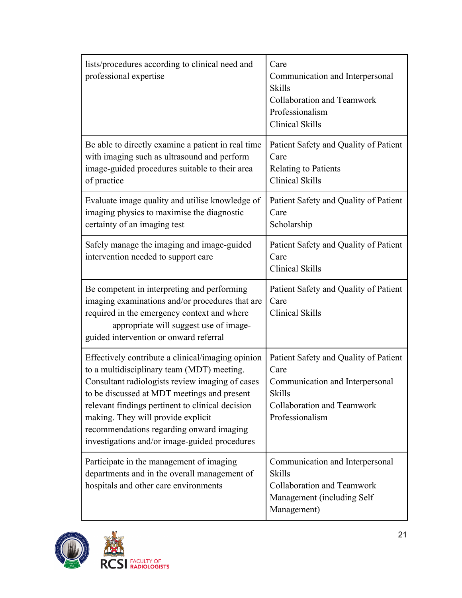| lists/procedures according to clinical need and<br>professional expertise                                                                                                                                                                                                                                                                                                                | Care<br>Communication and Interpersonal<br><b>Skills</b><br><b>Collaboration and Teamwork</b><br>Professionalism<br><b>Clinical Skills</b>         |
|------------------------------------------------------------------------------------------------------------------------------------------------------------------------------------------------------------------------------------------------------------------------------------------------------------------------------------------------------------------------------------------|----------------------------------------------------------------------------------------------------------------------------------------------------|
| Be able to directly examine a patient in real time<br>with imaging such as ultrasound and perform<br>image-guided procedures suitable to their area<br>of practice                                                                                                                                                                                                                       | Patient Safety and Quality of Patient<br>Care<br><b>Relating to Patients</b><br><b>Clinical Skills</b>                                             |
| Evaluate image quality and utilise knowledge of<br>imaging physics to maximise the diagnostic<br>certainty of an imaging test                                                                                                                                                                                                                                                            | Patient Safety and Quality of Patient<br>Care<br>Scholarship                                                                                       |
| Safely manage the imaging and image-guided<br>intervention needed to support care                                                                                                                                                                                                                                                                                                        | Patient Safety and Quality of Patient<br>Care<br><b>Clinical Skills</b>                                                                            |
| Be competent in interpreting and performing<br>imaging examinations and/or procedures that are<br>required in the emergency context and where<br>appropriate will suggest use of image-<br>guided intervention or onward referral                                                                                                                                                        | Patient Safety and Quality of Patient<br>Care<br>Clinical Skills                                                                                   |
| Effectively contribute a clinical/imaging opinion<br>to a multidisciplinary team (MDT) meeting.<br>Consultant radiologists review imaging of cases<br>to be discussed at MDT meetings and present<br>relevant findings pertinent to clinical decision<br>making. They will provide explicit<br>recommendations regarding onward imaging<br>investigations and/or image-guided procedures | Patient Safety and Quality of Patient<br>Care<br>Communication and Interpersonal<br><b>Skills</b><br>Collaboration and Teamwork<br>Professionalism |
| Participate in the management of imaging<br>departments and in the overall management of<br>hospitals and other care environments                                                                                                                                                                                                                                                        | Communication and Interpersonal<br><b>Skills</b><br>Collaboration and Teamwork<br>Management (including Self<br>Management)                        |

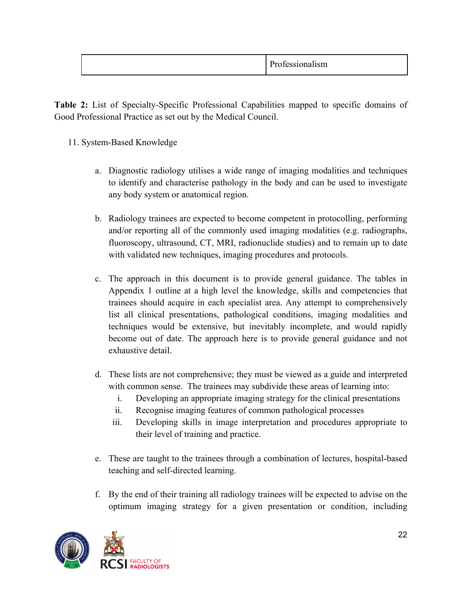| $\mathbf{r}$<br>$\cdot$ $\cdot$<br>--- |
|----------------------------------------|
|----------------------------------------|

**Table 2:** List of Specialty-Specific Professional Capabilities mapped to specific domains of Good Professional Practice as set out by the Medical Council.

- 11. System-Based Knowledge
	- a. Diagnostic radiology utilises a wide range of imaging modalities and techniques to identify and characterise pathology in the body and can be used to investigate any body system or anatomical region.
	- b. Radiology trainees are expected to become competent in protocolling, performing and/or reporting all of the commonly used imaging modalities (e.g. radiographs, fluoroscopy, ultrasound, CT, MRI, radionuclide studies) and to remain up to date with validated new techniques, imaging procedures and protocols.
	- c. The approach in this document is to provide general guidance. The tables in Appendix 1 outline at a high level the knowledge, skills and competencies that trainees should acquire in each specialist area. Any attempt to comprehensively list all clinical presentations, pathological conditions, imaging modalities and techniques would be extensive, but inevitably incomplete, and would rapidly become out of date. The approach here is to provide general guidance and not exhaustive detail.
	- d. These lists are not comprehensive; they must be viewed as a guide and interpreted with common sense. The trainees may subdivide these areas of learning into:
		- i. Developing an appropriate imaging strategy for the clinical presentations
		- ii. Recognise imaging features of common pathological processes
		- iii. Developing skills in image interpretation and procedures appropriate to their level of training and practice.
	- e. These are taught to the trainees through a combination of lectures, hospital-based teaching and self-directed learning.
	- f. By the end of their training all radiology trainees will be expected to advise on the optimum imaging strategy for a given presentation or condition, including

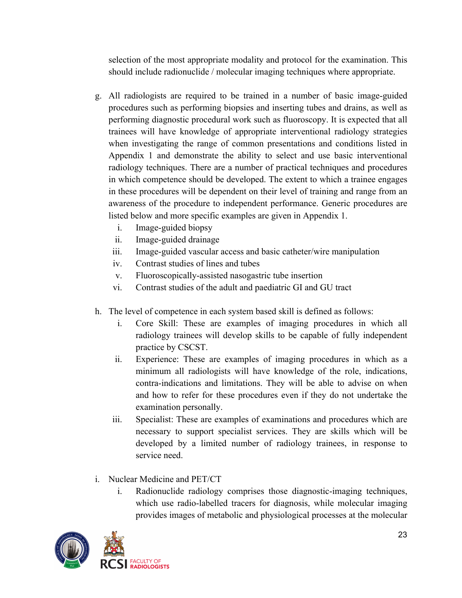selection of the most appropriate modality and protocol for the examination. This should include radionuclide / molecular imaging techniques where appropriate.

- g. All radiologists are required to be trained in a number of basic image-guided procedures such as performing biopsies and inserting tubes and drains, as well as performing diagnostic procedural work such as fluoroscopy. It is expected that all trainees will have knowledge of appropriate interventional radiology strategies when investigating the range of common presentations and conditions listed in Appendix 1 and demonstrate the ability to select and use basic interventional radiology techniques. There are a number of practical techniques and procedures in which competence should be developed. The extent to which a trainee engages in these procedures will be dependent on their level of training and range from an awareness of the procedure to independent performance. Generic procedures are listed below and more specific examples are given in Appendix 1.
	- i. Image-guided biopsy
	- ii. Image-guided drainage
	- iii. Image-guided vascular access and basic catheter/wire manipulation
	- iv. Contrast studies of lines and tubes
	- v. Fluoroscopically-assisted nasogastric tube insertion
	- vi. Contrast studies of the adult and paediatric GI and GU tract
- h. The level of competence in each system based skill is defined as follows:
	- i. Core Skill: These are examples of imaging procedures in which all radiology trainees will develop skills to be capable of fully independent practice by CSCST.
	- ii. Experience: These are examples of imaging procedures in which as a minimum all radiologists will have knowledge of the role, indications, contra-indications and limitations. They will be able to advise on when and how to refer for these procedures even if they do not undertake the examination personally.
	- iii. Specialist: These are examples of examinations and procedures which are necessary to support specialist services. They are skills which will be developed by a limited number of radiology trainees, in response to service need.
- i. Nuclear Medicine and PET/CT
	- i. Radionuclide radiology comprises those diagnostic-imaging techniques, which use radio-labelled tracers for diagnosis, while molecular imaging provides images of metabolic and physiological processes at the molecular

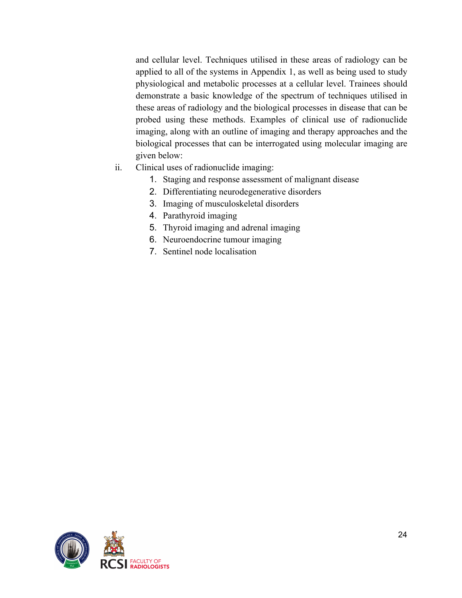and cellular level. Techniques utilised in these areas of radiology can be applied to all of the systems in Appendix 1, as well as being used to study physiological and metabolic processes at a cellular level. Trainees should demonstrate a basic knowledge of the spectrum of techniques utilised in these areas of radiology and the biological processes in disease that can be probed using these methods. Examples of clinical use of radionuclide imaging, along with an outline of imaging and therapy approaches and the biological processes that can be interrogated using molecular imaging are given below:

- ii. Clinical uses of radionuclide imaging:
	- 1. Staging and response assessment of malignant disease
	- 2. Differentiating neurodegenerative disorders
	- 3. Imaging of musculoskeletal disorders
	- 4. Parathyroid imaging
	- 5. Thyroid imaging and adrenal imaging
	- 6. Neuroendocrine tumour imaging
	- 7. Sentinel node localisation

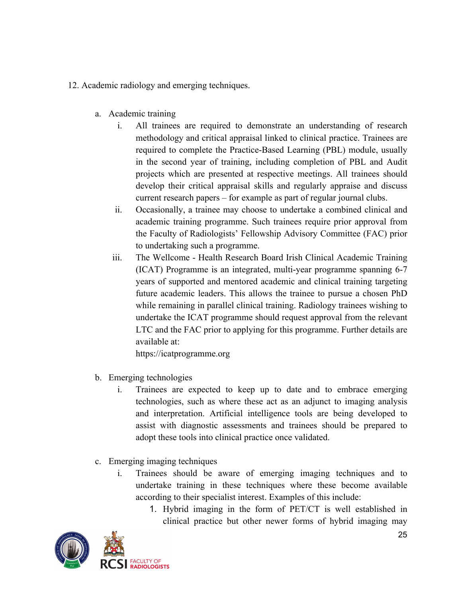- 12. Academic radiology and emerging techniques.
	- a. Academic training
		- i. All trainees are required to demonstrate an understanding of research methodology and critical appraisal linked to clinical practice. Trainees are required to complete the Practice-Based Learning (PBL) module, usually in the second year of training, including completion of PBL and Audit projects which are presented at respective meetings. All trainees should develop their critical appraisal skills and regularly appraise and discuss current research papers – for example as part of regular journal clubs.
		- ii. Occasionally, a trainee may choose to undertake a combined clinical and academic training programme. Such trainees require prior approval from the Faculty of Radiologists' Fellowship Advisory Committee (FAC) prior to undertaking such a programme.
		- iii. The Wellcome Health Research Board Irish Clinical Academic Training (ICAT) Programme is an integrated, multi-year programme spanning 6-7 years of supported and mentored academic and clinical training targeting future academic leaders. This allows the trainee to pursue a chosen PhD while remaining in parallel clinical training. Radiology trainees wishing to undertake the ICAT programme should request approval from the relevant LTC and the FAC prior to applying for this programme. Further details are available at:

https://icatprogramme.org

- b. Emerging technologies
	- i. Trainees are expected to keep up to date and to embrace emerging technologies, such as where these act as an adjunct to imaging analysis and interpretation. Artificial intelligence tools are being developed to assist with diagnostic assessments and trainees should be prepared to adopt these tools into clinical practice once validated.
- c. Emerging imaging techniques
	- i. Trainees should be aware of emerging imaging techniques and to undertake training in these techniques where these become available according to their specialist interest. Examples of this include:
		- 1. Hybrid imaging in the form of PET/CT is well established in clinical practice but other newer forms of hybrid imaging may

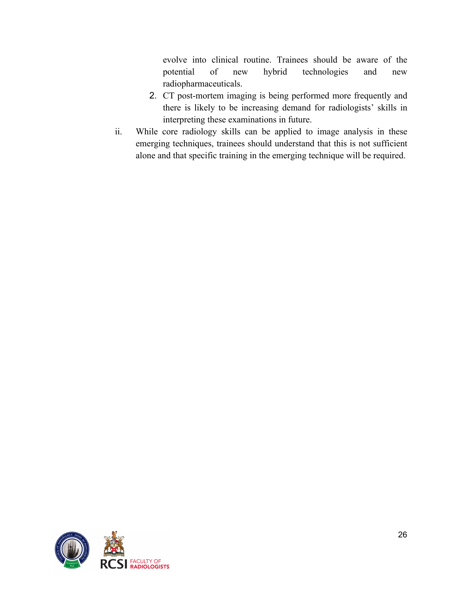evolve into clinical routine. Trainees should be aware of the potential of new hybrid technologies and new radiopharmaceuticals.

- 2. CT post-mortem imaging is being performed more frequently and there is likely to be increasing demand for radiologists' skills in interpreting these examinations in future.
- ii. While core radiology skills can be applied to image analysis in these emerging techniques, trainees should understand that this is not sufficient alone and that specific training in the emerging technique will be required.

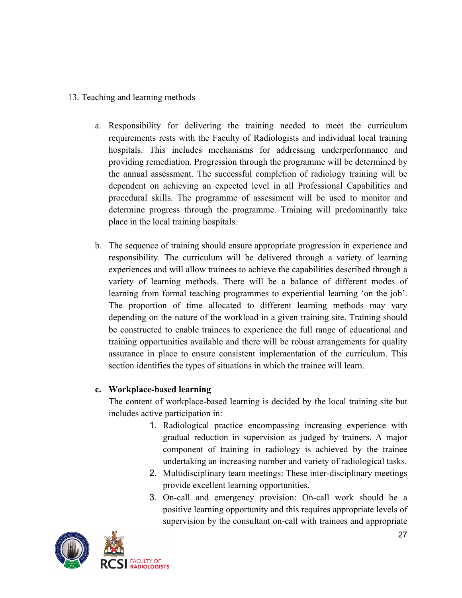#### 13. Teaching and learning methods

- a. Responsibility for delivering the training needed to meet the curriculum requirements rests with the Faculty of Radiologists and individual local training hospitals. This includes mechanisms for addressing underperformance and providing remediation. Progression through the programme will be determined by the annual assessment. The successful completion of radiology training will be dependent on achieving an expected level in all Professional Capabilities and procedural skills. The programme of assessment will be used to monitor and determine progress through the programme. Training will predominantly take place in the local training hospitals.
- b. The sequence of training should ensure appropriate progression in experience and responsibility. The curriculum will be delivered through a variety of learning experiences and will allow trainees to achieve the capabilities described through a variety of learning methods. There will be a balance of different modes of learning from formal teaching programmes to experiential learning 'on the job'. The proportion of time allocated to different learning methods may vary depending on the nature of the workload in a given training site. Training should be constructed to enable trainees to experience the full range of educational and training opportunities available and there will be robust arrangements for quality assurance in place to ensure consistent implementation of the curriculum. This section identifies the types of situations in which the trainee will learn.

#### **c. Workplace-based learning**

The content of workplace-based learning is decided by the local training site but includes active participation in:

- 1. Radiological practice encompassing increasing experience with gradual reduction in supervision as judged by trainers. A major component of training in radiology is achieved by the trainee undertaking an increasing number and variety of radiological tasks.
- 2. Multidisciplinary team meetings: These inter-disciplinary meetings provide excellent learning opportunities.
- 3. On-call and emergency provision: On-call work should be a positive learning opportunity and this requires appropriate levels of supervision by the consultant on-call with trainees and appropriate

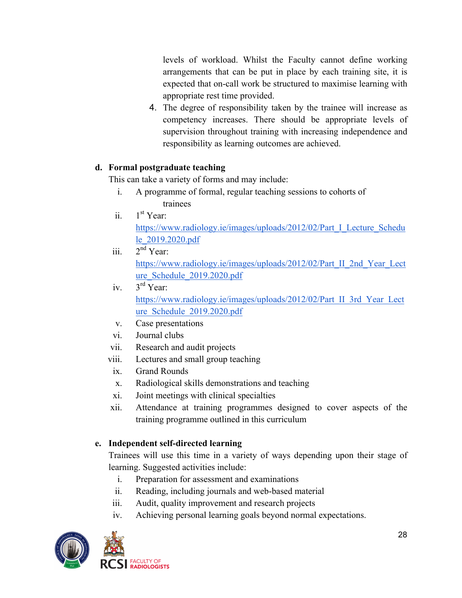levels of workload. Whilst the Faculty cannot define working arrangements that can be put in place by each training site, it is expected that on-call work be structured to maximise learning with appropriate rest time provided.

4. The degree of responsibility taken by the trainee will increase as competency increases. There should be appropriate levels of supervision throughout training with increasing independence and responsibility as learning outcomes are achieved.

# **d. Formal postgraduate teaching**

This can take a variety of forms and may include:

- i. A programme of formal, regular teaching sessions to cohorts of trainees
- ii.  $1<sup>st</sup>$  Year: https://www.radiology.ie/images/uploads/2012/02/Part I Lecture Schedu le\_2019.2020.pdf
- iii.  $2<sup>nd</sup>$  Year: https://www.radiology.ie/images/uploads/2012/02/Part\_II\_2nd\_Year\_Lect ure\_Schedule\_2019.2020.pdf
- iv. 3rd Year: https://www.radiology.ie/images/uploads/2012/02/Part\_II\_3rd\_Year\_Lect ure\_Schedule\_2019.2020.pdf
- v. Case presentations
- vi. Journal clubs
- vii. Research and audit projects
- viii. Lectures and small group teaching
- ix. Grand Rounds
- x. Radiological skills demonstrations and teaching
- xi. Joint meetings with clinical specialties
- xii. Attendance at training programmes designed to cover aspects of the training programme outlined in this curriculum

# **e. Independent self-directed learning**

Trainees will use this time in a variety of ways depending upon their stage of learning. Suggested activities include:

- i. Preparation for assessment and examinations
- ii. Reading, including journals and web-based material
- iii. Audit, quality improvement and research projects
- iv. Achieving personal learning goals beyond normal expectations.

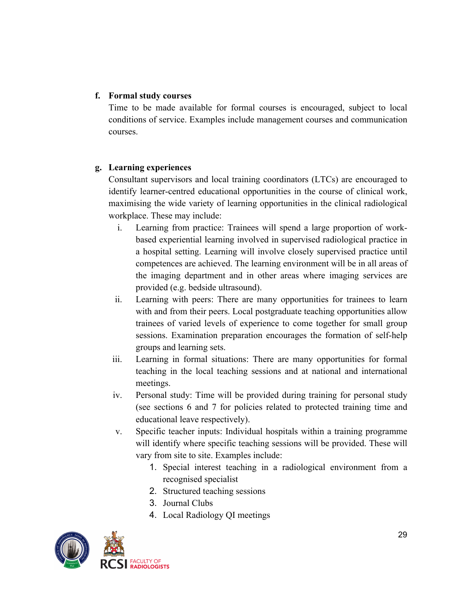#### **f. Formal study courses**

Time to be made available for formal courses is encouraged, subject to local conditions of service. Examples include management courses and communication courses.

#### **g. Learning experiences**

Consultant supervisors and local training coordinators (LTCs) are encouraged to identify learner-centred educational opportunities in the course of clinical work, maximising the wide variety of learning opportunities in the clinical radiological workplace. These may include:

- i. Learning from practice: Trainees will spend a large proportion of workbased experiential learning involved in supervised radiological practice in a hospital setting. Learning will involve closely supervised practice until competences are achieved. The learning environment will be in all areas of the imaging department and in other areas where imaging services are provided (e.g. bedside ultrasound).
- ii. Learning with peers: There are many opportunities for trainees to learn with and from their peers. Local postgraduate teaching opportunities allow trainees of varied levels of experience to come together for small group sessions. Examination preparation encourages the formation of self-help groups and learning sets.
- iii. Learning in formal situations: There are many opportunities for formal teaching in the local teaching sessions and at national and international meetings.
- iv. Personal study: Time will be provided during training for personal study (see sections 6 and 7 for policies related to protected training time and educational leave respectively).
- v. Specific teacher inputs: Individual hospitals within a training programme will identify where specific teaching sessions will be provided. These will vary from site to site. Examples include:
	- 1. Special interest teaching in a radiological environment from a recognised specialist
	- 2. Structured teaching sessions
	- 3. Journal Clubs
	- 4. Local Radiology QI meetings

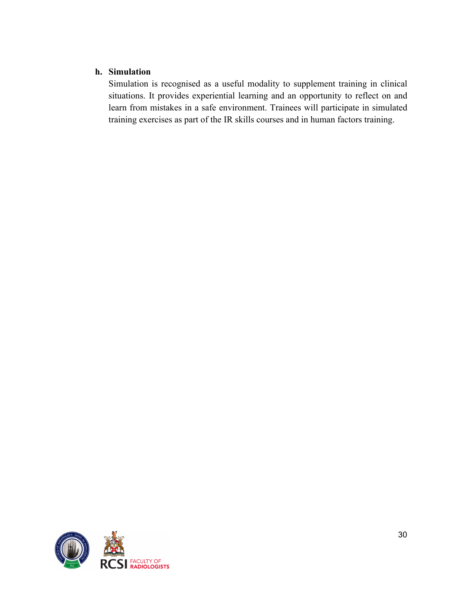## **h. Simulation**

Simulation is recognised as a useful modality to supplement training in clinical situations. It provides experiential learning and an opportunity to reflect on and learn from mistakes in a safe environment. Trainees will participate in simulated training exercises as part of the IR skills courses and in human factors training.

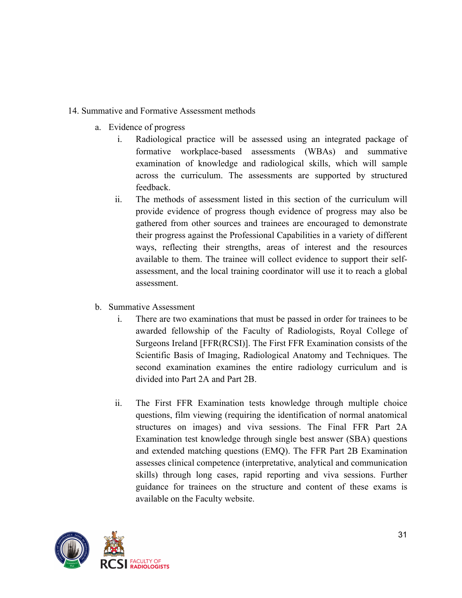#### 14. Summative and Formative Assessment methods

- a. Evidence of progress
	- i. Radiological practice will be assessed using an integrated package of formative workplace-based assessments (WBAs) and summative examination of knowledge and radiological skills, which will sample across the curriculum. The assessments are supported by structured feedback.
	- ii. The methods of assessment listed in this section of the curriculum will provide evidence of progress though evidence of progress may also be gathered from other sources and trainees are encouraged to demonstrate their progress against the Professional Capabilities in a variety of different ways, reflecting their strengths, areas of interest and the resources available to them. The trainee will collect evidence to support their selfassessment, and the local training coordinator will use it to reach a global assessment.
- b. Summative Assessment
	- i. There are two examinations that must be passed in order for trainees to be awarded fellowship of the Faculty of Radiologists, Royal College of Surgeons Ireland [FFR(RCSI)]. The First FFR Examination consists of the Scientific Basis of Imaging, Radiological Anatomy and Techniques. The second examination examines the entire radiology curriculum and is divided into Part 2A and Part 2B.
	- ii. The First FFR Examination tests knowledge through multiple choice questions, film viewing (requiring the identification of normal anatomical structures on images) and viva sessions. The Final FFR Part 2A Examination test knowledge through single best answer (SBA) questions and extended matching questions (EMQ). The FFR Part 2B Examination assesses clinical competence (interpretative, analytical and communication skills) through long cases, rapid reporting and viva sessions. Further guidance for trainees on the structure and content of these exams is available on the Faculty website.

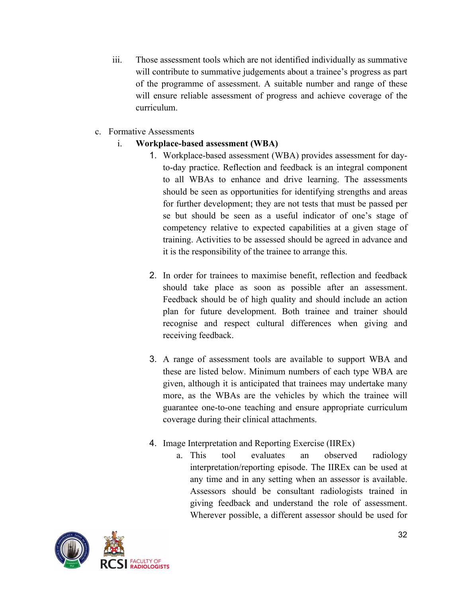- iii. Those assessment tools which are not identified individually as summative will contribute to summative judgements about a trainee's progress as part of the programme of assessment. A suitable number and range of these will ensure reliable assessment of progress and achieve coverage of the curriculum.
- c. Formative Assessments
	- i. **Workplace-based assessment (WBA)**
		- 1. Workplace-based assessment (WBA) provides assessment for dayto-day practice. Reflection and feedback is an integral component to all WBAs to enhance and drive learning. The assessments should be seen as opportunities for identifying strengths and areas for further development; they are not tests that must be passed per se but should be seen as a useful indicator of one's stage of competency relative to expected capabilities at a given stage of training. Activities to be assessed should be agreed in advance and it is the responsibility of the trainee to arrange this.
		- 2. In order for trainees to maximise benefit, reflection and feedback should take place as soon as possible after an assessment. Feedback should be of high quality and should include an action plan for future development. Both trainee and trainer should recognise and respect cultural differences when giving and receiving feedback.
		- 3. A range of assessment tools are available to support WBA and these are listed below. Minimum numbers of each type WBA are given, although it is anticipated that trainees may undertake many more, as the WBAs are the vehicles by which the trainee will guarantee one-to-one teaching and ensure appropriate curriculum coverage during their clinical attachments.
		- 4. Image Interpretation and Reporting Exercise (IIREx)
			- a. This tool evaluates an observed radiology interpretation/reporting episode. The IIREx can be used at any time and in any setting when an assessor is available. Assessors should be consultant radiologists trained in giving feedback and understand the role of assessment. Wherever possible, a different assessor should be used for

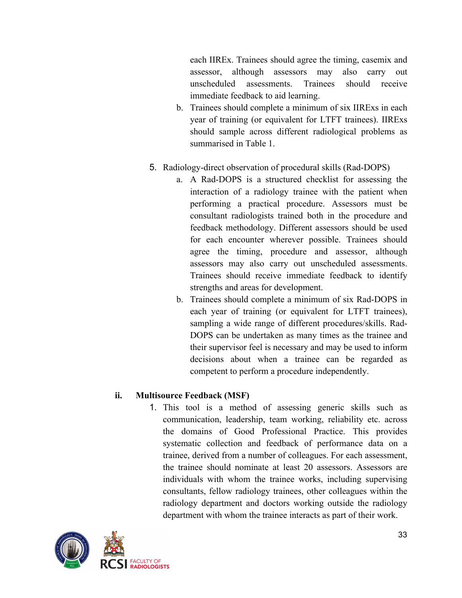each IIREx. Trainees should agree the timing, casemix and assessor, although assessors may also carry out unscheduled assessments. Trainees should receive immediate feedback to aid learning.

- b. Trainees should complete a minimum of six IIRExs in each year of training (or equivalent for LTFT trainees). IIRExs should sample across different radiological problems as summarised in Table 1.
- 5. Radiology-direct observation of procedural skills (Rad-DOPS)
	- a. A Rad-DOPS is a structured checklist for assessing the interaction of a radiology trainee with the patient when performing a practical procedure. Assessors must be consultant radiologists trained both in the procedure and feedback methodology. Different assessors should be used for each encounter wherever possible. Trainees should agree the timing, procedure and assessor, although assessors may also carry out unscheduled assessments. Trainees should receive immediate feedback to identify strengths and areas for development.
	- b. Trainees should complete a minimum of six Rad-DOPS in each year of training (or equivalent for LTFT trainees), sampling a wide range of different procedures/skills. Rad-DOPS can be undertaken as many times as the trainee and their supervisor feel is necessary and may be used to inform decisions about when a trainee can be regarded as competent to perform a procedure independently.

# **ii. Multisource Feedback (MSF)**

1. This tool is a method of assessing generic skills such as communication, leadership, team working, reliability etc. across the domains of Good Professional Practice. This provides systematic collection and feedback of performance data on a trainee, derived from a number of colleagues. For each assessment, the trainee should nominate at least 20 assessors. Assessors are individuals with whom the trainee works, including supervising consultants, fellow radiology trainees, other colleagues within the radiology department and doctors working outside the radiology department with whom the trainee interacts as part of their work.

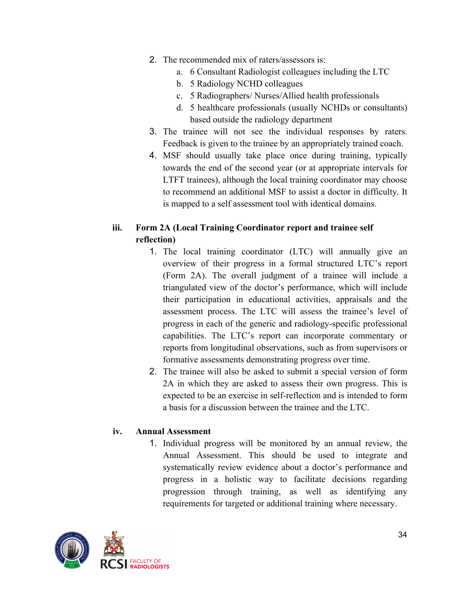- 2. The recommended mix of raters/assessors is:
	- a. 6 Consultant Radiologist colleagues including the LTC
	- b. 5 Radiology NCHD colleagues
	- c. 5 Radiographers/ Nurses/Allied health professionals
	- d. 5 healthcare professionals (usually NCHDs or consultants) based outside the radiology department
- 3. The trainee will not see the individual responses by raters. Feedback is given to the trainee by an appropriately trained coach.
- 4. MSF should usually take place once during training, typically towards the end of the second year (or at appropriate intervals for LTFT trainees), although the local training coordinator may choose to recommend an additional MSF to assist a doctor in difficulty. It is mapped to a self assessment tool with identical domains.

# **iii. Form 2A (Local Training Coordinator report and trainee self reflection)**

- 1. The local training coordinator (LTC) will annually give an overview of their progress in a formal structured LTC's report (Form 2A). The overall judgment of a trainee will include a triangulated view of the doctor's performance, which will include their participation in educational activities, appraisals and the assessment process. The LTC will assess the trainee's level of progress in each of the generic and radiology-specific professional capabilities. The LTC's report can incorporate commentary or reports from longitudinal observations, such as from supervisors or formative assessments demonstrating progress over time.
- 2. The trainee will also be asked to submit a special version of form 2A in which they are asked to assess their own progress. This is expected to be an exercise in self-reflection and is intended to form a basis for a discussion between the trainee and the LTC.

## **iv. Annual Assessment**

1. Individual progress will be monitored by an annual review, the Annual Assessment. This should be used to integrate and systematically review evidence about a doctor's performance and progress in a holistic way to facilitate decisions regarding progression through training, as well as identifying any requirements for targeted or additional training where necessary.

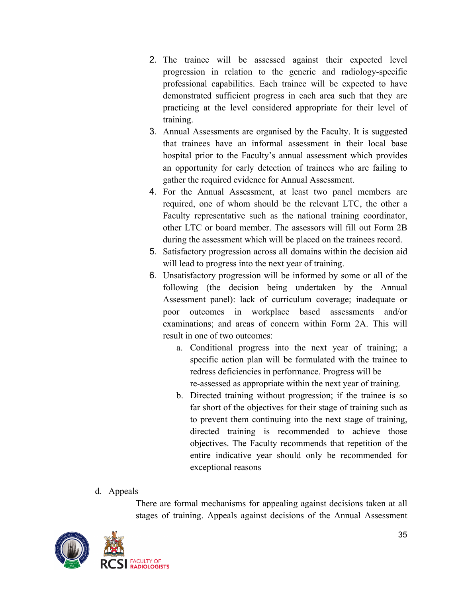- 2. The trainee will be assessed against their expected level progression in relation to the generic and radiology-specific professional capabilities. Each trainee will be expected to have demonstrated sufficient progress in each area such that they are practicing at the level considered appropriate for their level of training.
- 3. Annual Assessments are organised by the Faculty. It is suggested that trainees have an informal assessment in their local base hospital prior to the Faculty's annual assessment which provides an opportunity for early detection of trainees who are failing to gather the required evidence for Annual Assessment.
- 4. For the Annual Assessment, at least two panel members are required, one of whom should be the relevant LTC, the other a Faculty representative such as the national training coordinator, other LTC or board member. The assessors will fill out Form 2B during the assessment which will be placed on the trainees record.
- 5. Satisfactory progression across all domains within the decision aid will lead to progress into the next year of training.
- 6. Unsatisfactory progression will be informed by some or all of the following (the decision being undertaken by the Annual Assessment panel): lack of curriculum coverage; inadequate or poor outcomes in workplace based assessments and/or examinations; and areas of concern within Form 2A. This will result in one of two outcomes:
	- a. Conditional progress into the next year of training; a specific action plan will be formulated with the trainee to redress deficiencies in performance. Progress will be re-assessed as appropriate within the next year of training.
	- b. Directed training without progression; if the trainee is so far short of the objectives for their stage of training such as to prevent them continuing into the next stage of training, directed training is recommended to achieve those objectives. The Faculty recommends that repetition of the entire indicative year should only be recommended for exceptional reasons
- d. Appeals

There are formal mechanisms for appealing against decisions taken at all stages of training. Appeals against decisions of the Annual Assessment

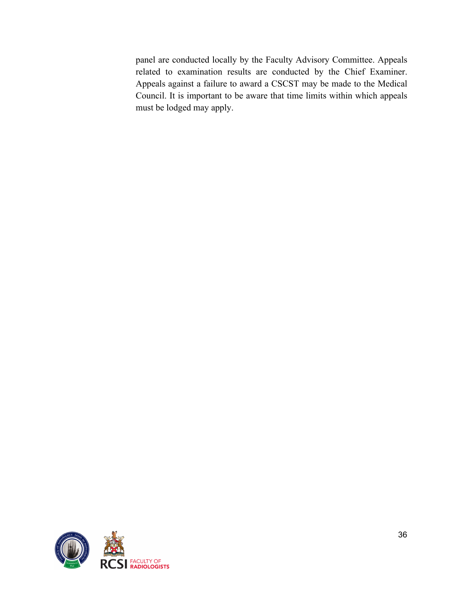panel are conducted locally by the Faculty Advisory Committee. Appeals related to examination results are conducted by the Chief Examiner. Appeals against a failure to award a CSCST may be made to the Medical Council. It is important to be aware that time limits within which appeals must be lodged may apply.

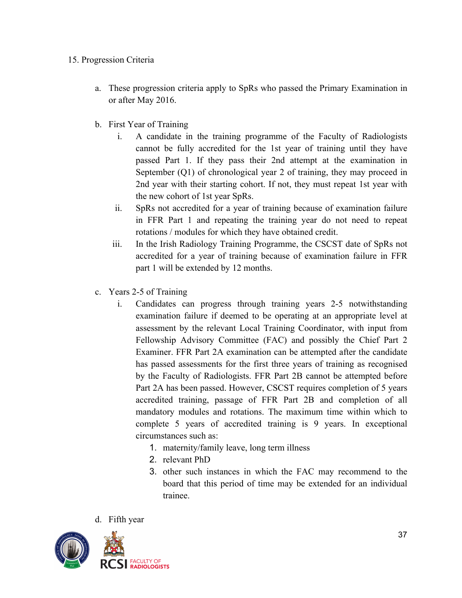#### 15. Progression Criteria

- a. These progression criteria apply to SpRs who passed the Primary Examination in or after May 2016.
- b. First Year of Training
	- i. A candidate in the training programme of the Faculty of Radiologists cannot be fully accredited for the 1st year of training until they have passed Part 1. If they pass their 2nd attempt at the examination in September (Q1) of chronological year 2 of training, they may proceed in 2nd year with their starting cohort. If not, they must repeat 1st year with the new cohort of 1st year SpRs.
	- ii. SpRs not accredited for a year of training because of examination failure in FFR Part 1 and repeating the training year do not need to repeat rotations / modules for which they have obtained credit.
	- iii. In the Irish Radiology Training Programme, the CSCST date of SpRs not accredited for a year of training because of examination failure in FFR part 1 will be extended by 12 months.
- c. Years 2-5 of Training
	- i. Candidates can progress through training years 2-5 notwithstanding examination failure if deemed to be operating at an appropriate level at assessment by the relevant Local Training Coordinator, with input from Fellowship Advisory Committee (FAC) and possibly the Chief Part 2 Examiner. FFR Part 2A examination can be attempted after the candidate has passed assessments for the first three years of training as recognised by the Faculty of Radiologists. FFR Part 2B cannot be attempted before Part 2A has been passed. However, CSCST requires completion of 5 years accredited training, passage of FFR Part 2B and completion of all mandatory modules and rotations. The maximum time within which to complete 5 years of accredited training is 9 years. In exceptional circumstances such as:
		- 1. maternity/family leave, long term illness
		- 2. relevant PhD
		- 3. other such instances in which the FAC may recommend to the board that this period of time may be extended for an individual trainee.
- d. Fifth year

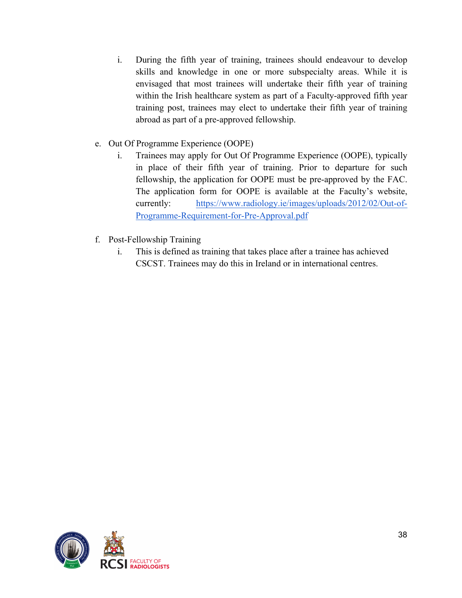- i. During the fifth year of training, trainees should endeavour to develop skills and knowledge in one or more subspecialty areas. While it is envisaged that most trainees will undertake their fifth year of training within the Irish healthcare system as part of a Faculty-approved fifth year training post, trainees may elect to undertake their fifth year of training abroad as part of a pre-approved fellowship.
- e. Out Of Programme Experience (OOPE)
	- i. Trainees may apply for Out Of Programme Experience (OOPE), typically in place of their fifth year of training. Prior to departure for such fellowship, the application for OOPE must be pre-approved by the FAC. The application form for OOPE is available at the Faculty's website, currently: https://www.radiology.ie/images/uploads/2012/02/Out-of-Programme-Requirement-for-Pre-Approval.pdf
- f. Post-Fellowship Training
	- i. This is defined as training that takes place after a trainee has achieved CSCST. Trainees may do this in Ireland or in international centres.

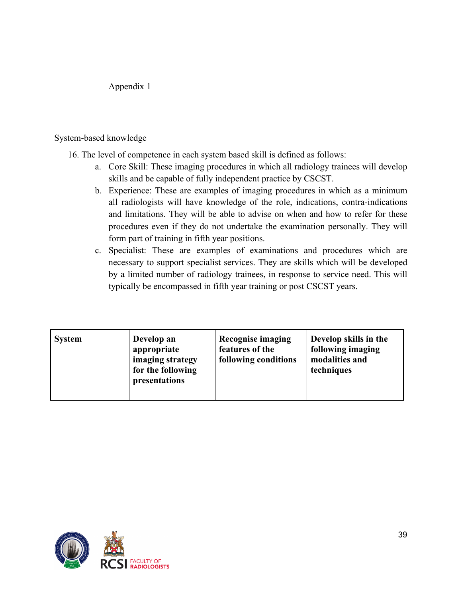#### Appendix 1

#### System-based knowledge

- 16. The level of competence in each system based skill is defined as follows:
	- a. Core Skill: These imaging procedures in which all radiology trainees will develop skills and be capable of fully independent practice by CSCST.
	- b. Experience: These are examples of imaging procedures in which as a minimum all radiologists will have knowledge of the role, indications, contra-indications and limitations. They will be able to advise on when and how to refer for these procedures even if they do not undertake the examination personally. They will form part of training in fifth year positions.
	- c. Specialist: These are examples of examinations and procedures which are necessary to support specialist services. They are skills which will be developed by a limited number of radiology trainees, in response to service need. This will typically be encompassed in fifth year training or post CSCST years.

| <b>System</b> | Develop an<br>appropriate<br>imaging strategy<br>for the following<br>presentations | <b>Recognise imaging</b><br>features of the<br>following conditions | Develop skills in the<br>following imaging<br>modalities and<br>techniques |
|---------------|-------------------------------------------------------------------------------------|---------------------------------------------------------------------|----------------------------------------------------------------------------|
|---------------|-------------------------------------------------------------------------------------|---------------------------------------------------------------------|----------------------------------------------------------------------------|

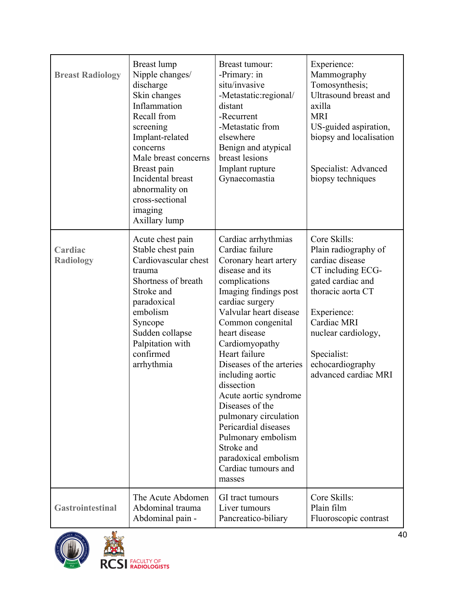| <b>Breast Radiology</b>     | Breast lump<br>Nipple changes/<br>discharge<br>Skin changes<br>Inflammation<br>Recall from<br>screening<br>Implant-related<br>concerns<br>Male breast concerns<br>Breast pain<br>Incidental breast<br>abnormality on<br>cross-sectional<br>imaging<br>Axillary lump | Breast tumour:<br>-Primary: in<br>situ/invasive<br>-Metastatic:regional/<br>distant<br>-Recurrent<br>-Metastatic from<br>elsewhere<br>Benign and atypical<br>breast lesions<br>Implant rupture<br>Gynaecomastia                                                                                                                                                                                                                                                                                            | Experience:<br>Mammography<br>Tomosynthesis;<br>Ultrasound breast and<br>axilla<br><b>MRI</b><br>US-guided aspiration,<br>biopsy and localisation<br>Specialist: Advanced<br>biopsy techniques                                         |
|-----------------------------|---------------------------------------------------------------------------------------------------------------------------------------------------------------------------------------------------------------------------------------------------------------------|------------------------------------------------------------------------------------------------------------------------------------------------------------------------------------------------------------------------------------------------------------------------------------------------------------------------------------------------------------------------------------------------------------------------------------------------------------------------------------------------------------|----------------------------------------------------------------------------------------------------------------------------------------------------------------------------------------------------------------------------------------|
| Cardiac<br><b>Radiology</b> | Acute chest pain<br>Stable chest pain<br>Cardiovascular chest<br>trauma<br>Shortness of breath<br>Stroke and<br>paradoxical<br>embolism<br>Syncope<br>Sudden collapse<br>Palpitation with<br>confirmed<br>arrhythmia                                                | Cardiac arrhythmias<br>Cardiac failure<br>Coronary heart artery<br>disease and its<br>complications<br>Imaging findings post<br>cardiac surgery<br>Valvular heart disease<br>Common congenital<br>heart disease<br>Cardiomyopathy<br>Heart failure<br>Diseases of the arteries<br>including aortic<br>dissection<br>Acute aortic syndrome<br>Diseases of the<br>pulmonary circulation<br>Pericardial diseases<br>Pulmonary embolism<br>Stroke and<br>paradoxical embolism<br>Cardiac tumours and<br>masses | Core Skills:<br>Plain radiography of<br>cardiac disease<br>CT including ECG-<br>gated cardiac and<br>thoracic aorta CT<br>Experience:<br>Cardiac MRI<br>nuclear cardiology,<br>Specialist:<br>echocardiography<br>advanced cardiac MRI |
| <b>Gastrointestinal</b>     | The Acute Abdomen<br>Abdominal trauma<br>Abdominal pain -                                                                                                                                                                                                           | GI tract tumours<br>Liver tumours<br>Pancreatico-biliary                                                                                                                                                                                                                                                                                                                                                                                                                                                   | Core Skills:<br>Plain film<br>Fluoroscopic contrast                                                                                                                                                                                    |



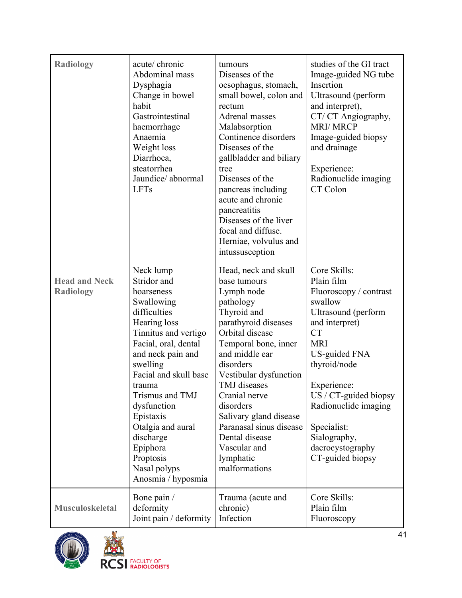| <b>Radiology</b>                         | acute/ chronic<br>Abdominal mass<br>Dysphagia<br>Change in bowel<br>habit<br>Gastrointestinal<br>haemorrhage<br>Anaemia<br>Weight loss<br>Diarrhoea,<br>steatorrhea<br>Jaundice/abnormal<br><b>LFTs</b>                                                                                                                                                  | tumours<br>Diseases of the<br>oesophagus, stomach,<br>small bowel, colon and<br>rectum<br>Adrenal masses<br>Malabsorption<br>Continence disorders<br>Diseases of the<br>gallbladder and biliary<br>tree<br>Diseases of the<br>pancreas including<br>acute and chronic<br>pancreatitis<br>Diseases of the liver $-$<br>focal and diffuse.<br>Herniae, volvulus and<br>intussusception | studies of the GI tract<br>Image-guided NG tube<br>Insertion<br>Ultrasound (perform<br>and interpret),<br>CT/CT Angiography,<br><b>MRI/MRCP</b><br>Image-guided biopsy<br>and drainage<br>Experience:<br>Radionuclide imaging<br>CT Colon                                                                      |
|------------------------------------------|----------------------------------------------------------------------------------------------------------------------------------------------------------------------------------------------------------------------------------------------------------------------------------------------------------------------------------------------------------|--------------------------------------------------------------------------------------------------------------------------------------------------------------------------------------------------------------------------------------------------------------------------------------------------------------------------------------------------------------------------------------|----------------------------------------------------------------------------------------------------------------------------------------------------------------------------------------------------------------------------------------------------------------------------------------------------------------|
| <b>Head and Neck</b><br><b>Radiology</b> | Neck lump<br>Stridor and<br>hoarseness<br>Swallowing<br>difficulties<br>Hearing loss<br>Tinnitus and vertigo<br>Facial, oral, dental<br>and neck pain and<br>swelling<br>Facial and skull base<br>trauma<br>Trismus and TMJ<br>dysfunction<br>Epistaxis<br>Otalgia and aural<br>discharge<br>Epiphora<br>Proptosis<br>Nasal polyps<br>Anosmia / hyposmia | Head, neck and skull<br>base tumours<br>Lymph node<br>pathology<br>Thyroid and<br>parathyroid diseases<br>Orbital disease<br>Temporal bone, inner<br>and middle ear<br>disorders<br>Vestibular dysfunction<br>TMJ diseases<br>Cranial nerve<br>disorders<br>Salivary gland disease<br>Paranasal sinus disease<br>Dental disease<br>Vascular and<br>lymphatic<br>malformations        | Core Skills:<br>Plain film<br>Fluoroscopy / contrast<br>swallow<br>Ultrasound (perform<br>and interpret)<br><b>CT</b><br><b>MRI</b><br>US-guided FNA<br>thyroid/node<br>Experience:<br>$US / CT$ -guided biopsy<br>Radionuclide imaging<br>Specialist:<br>Sialography,<br>dacrocystography<br>CT-guided biopsy |
| <b>Musculoskeletal</b>                   | Bone pain /<br>deformity<br>Joint pain / deformity                                                                                                                                                                                                                                                                                                       | Trauma (acute and<br>chronic)<br>Infection                                                                                                                                                                                                                                                                                                                                           | Core Skills:<br>Plain film<br>Fluoroscopy                                                                                                                                                                                                                                                                      |

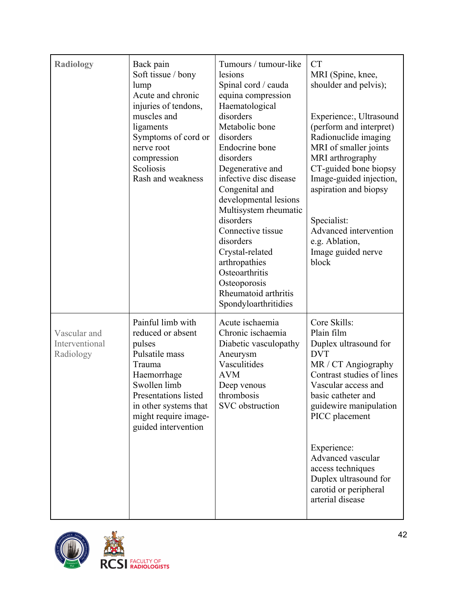| <b>Radiology</b>                            | Back pain<br>Soft tissue / bony<br>lump<br>Acute and chronic<br>injuries of tendons,<br>muscles and<br>ligaments<br>Symptoms of cord or<br>nerve root<br>compression<br>Scoliosis<br>Rash and weakness      | Tumours / tumour-like<br>lesions<br>Spinal cord / cauda<br>equina compression<br>Haematological<br>disorders<br>Metabolic bone<br>disorders<br>Endocrine bone<br>disorders<br>Degenerative and<br>infective disc disease<br>Congenital and<br>developmental lesions<br>Multisystem rheumatic<br>disorders<br>Connective tissue<br>disorders<br>Crystal-related<br>arthropathies<br>Osteoarthritis<br>Osteoporosis<br>Rheumatoid arthritis<br>Spondyloarthritidies | <b>CT</b><br>MRI (Spine, knee,<br>shoulder and pelvis);<br>Experience:, Ultrasound<br>(perform and interpret)<br>Radionuclide imaging<br>MRI of smaller joints<br>MRI arthrography<br>CT-guided bone biopsy<br>Image-guided injection,<br>aspiration and biopsy<br>Specialist:<br>Advanced intervention<br>e.g. Ablation,<br>Image guided nerve<br>block |
|---------------------------------------------|-------------------------------------------------------------------------------------------------------------------------------------------------------------------------------------------------------------|-------------------------------------------------------------------------------------------------------------------------------------------------------------------------------------------------------------------------------------------------------------------------------------------------------------------------------------------------------------------------------------------------------------------------------------------------------------------|----------------------------------------------------------------------------------------------------------------------------------------------------------------------------------------------------------------------------------------------------------------------------------------------------------------------------------------------------------|
| Vascular and<br>Interventional<br>Radiology | Painful limb with<br>reduced or absent<br>pulses<br>Pulsatile mass<br>Trauma<br>Haemorrhage<br>Swollen limb<br>Presentations listed<br>in other systems that<br>might require image-<br>guided intervention | Acute ischaemia<br>Chronic ischaemia<br>Diabetic vasculopathy<br>Aneurysm<br>Vasculitides<br><b>AVM</b><br>Deep venous<br>thrombosis<br><b>SVC</b> obstruction                                                                                                                                                                                                                                                                                                    | Core Skills:<br>Plain film<br>Duplex ultrasound for<br><b>DVT</b><br>MR / CT Angiography<br>Contrast studies of lines<br>Vascular access and<br>basic catheter and<br>guidewire manipulation<br>PICC placement<br>Experience:<br>Advanced vascular<br>access techniques<br>Duplex ultrasound for<br>carotid or peripheral<br>arterial disease            |

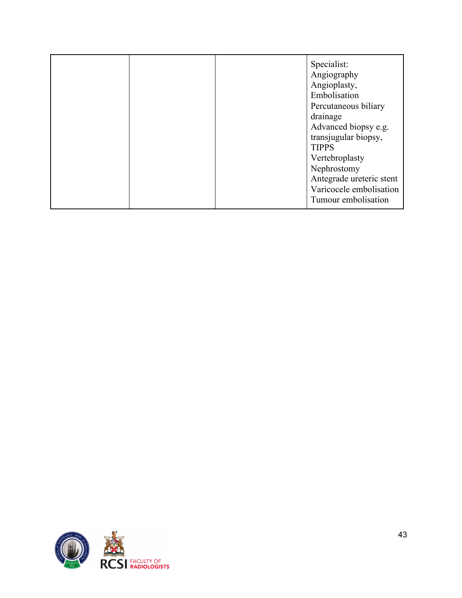|  | Specialist:<br>Angiography<br>Angioplasty,<br>Embolisation<br>Percutaneous biliary<br>drainage<br>Advanced biopsy e.g.<br>transjugular biopsy,<br><b>TIPPS</b><br>Vertebroplasty<br>Nephrostomy<br>Antegrade ureteric stent<br>Varicocele embolisation |
|--|--------------------------------------------------------------------------------------------------------------------------------------------------------------------------------------------------------------------------------------------------------|
|  | Tumour embolisation                                                                                                                                                                                                                                    |

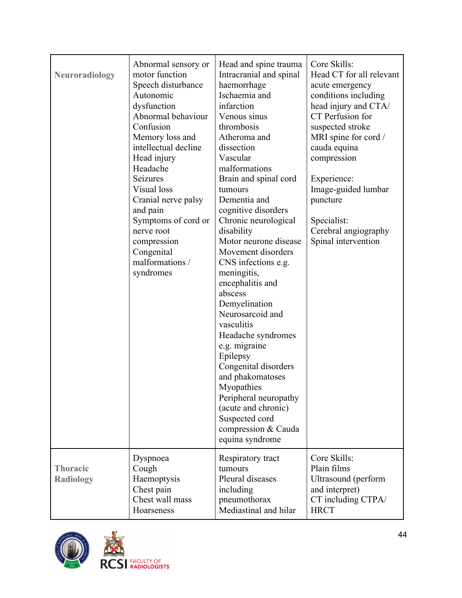| <b>Neuroradiology</b>               | Abnormal sensory or<br>motor function<br>Speech disturbance<br>Autonomic<br>dysfunction<br>Abnormal behaviour<br>Confusion<br>Memory loss and<br>intellectual decline<br>Head injury<br>Headache<br>Seizures<br>Visual loss<br>Cranial nerve palsy<br>and pain<br>Symptoms of cord or<br>nerve root<br>compression<br>Congenital<br>malformations /<br>syndromes | Head and spine trauma<br>Intracranial and spinal<br>haemorrhage<br>Ischaemia and<br>infarction<br>Venous sinus<br>thrombosis<br>Atheroma and<br>dissection<br>Vascular<br>malformations<br>Brain and spinal cord<br>tumours<br>Dementia and<br>cognitive disorders<br>Chronic neurological<br>disability<br>Motor neurone disease<br>Movement disorders<br>CNS infections e.g.<br>meningitis,<br>encephalitis and<br>abscess<br>Demyelination<br>Neurosarcoid and<br>vasculitis<br>Headache syndromes<br>e.g. migraine<br>Epilepsy<br>Congenital disorders<br>and phakomatoses<br>Myopathies<br>Peripheral neuropathy<br>(acute and chronic)<br>Suspected cord<br>compression & Cauda<br>equina syndrome | Core Skills:<br>Head CT for all relevant<br>acute emergency<br>conditions including<br>head injury and CTA/<br>CT Perfusion for<br>suspected stroke<br>MRI spine for cord /<br>cauda equina<br>compression<br>Experience:<br>Image-guided lumbar<br>puncture<br>Specialist:<br>Cerebral angiography<br>Spinal intervention |
|-------------------------------------|------------------------------------------------------------------------------------------------------------------------------------------------------------------------------------------------------------------------------------------------------------------------------------------------------------------------------------------------------------------|----------------------------------------------------------------------------------------------------------------------------------------------------------------------------------------------------------------------------------------------------------------------------------------------------------------------------------------------------------------------------------------------------------------------------------------------------------------------------------------------------------------------------------------------------------------------------------------------------------------------------------------------------------------------------------------------------------|----------------------------------------------------------------------------------------------------------------------------------------------------------------------------------------------------------------------------------------------------------------------------------------------------------------------------|
| <b>Thoracic</b><br><b>Radiology</b> | Dyspnoea<br>Cough<br>Haemoptysis<br>Chest pain<br>Chest wall mass<br>Hoarseness                                                                                                                                                                                                                                                                                  | Respiratory tract<br>tumours<br>Pleural diseases<br>including<br>pneumothorax<br>Mediastinal and hilar                                                                                                                                                                                                                                                                                                                                                                                                                                                                                                                                                                                                   | Core Skills:<br>Plain films<br>Ultrasound (perform<br>and interpret)<br>CT including CTPA/<br><b>HRCT</b>                                                                                                                                                                                                                  |



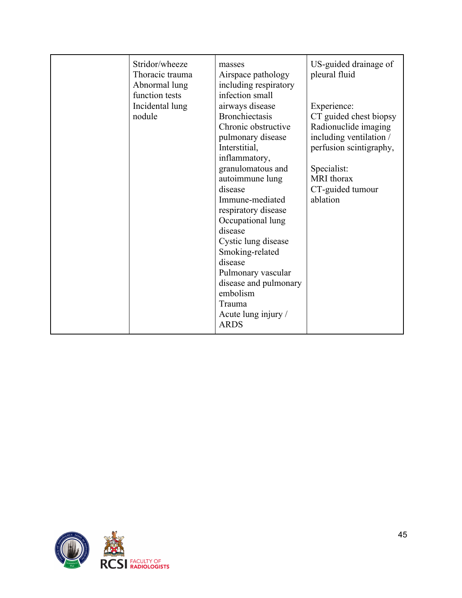| Stridor/wheeze<br>Thoracic trauma<br>Abnormal lung<br>function tests<br>Incidental lung<br>nodule | masses<br>Airspace pathology<br>including respiratory<br>infection small<br>airways disease<br><b>Bronchiectasis</b><br>Chronic obstructive<br>pulmonary disease<br>Interstitial,<br>inflammatory,<br>granulomatous and<br>autoimmune lung<br>disease<br>Immune-mediated<br>respiratory disease<br>Occupational lung<br>disease<br>Cystic lung disease<br>Smoking-related | US-guided drainage of<br>pleural fluid<br>Experience:<br>CT guided chest biopsy<br>Radionuclide imaging<br>including ventilation /<br>perfusion scintigraphy,<br>Specialist:<br>MRI thorax<br>CT-guided tumour<br>ablation |
|---------------------------------------------------------------------------------------------------|---------------------------------------------------------------------------------------------------------------------------------------------------------------------------------------------------------------------------------------------------------------------------------------------------------------------------------------------------------------------------|----------------------------------------------------------------------------------------------------------------------------------------------------------------------------------------------------------------------------|
|                                                                                                   | disease<br>Pulmonary vascular<br>disease and pulmonary<br>embolism<br>Trauma<br>Acute lung injury /<br><b>ARDS</b>                                                                                                                                                                                                                                                        |                                                                                                                                                                                                                            |

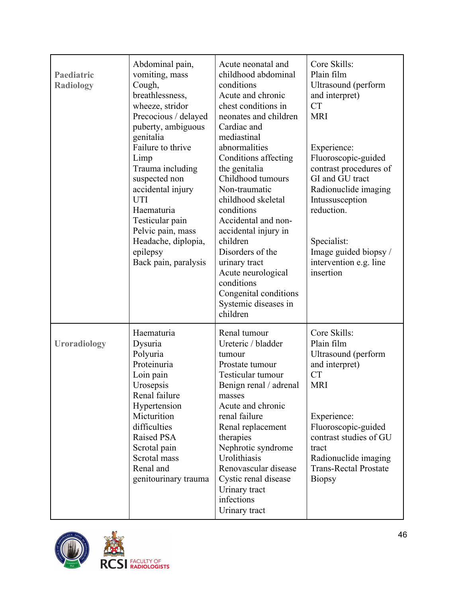| Paediatric<br><b>Radiology</b> | Abdominal pain,<br>vomiting, mass<br>Cough,<br>breathlessness,<br>wheeze, stridor<br>Precocious / delayed<br>puberty, ambiguous<br>genitalia<br>Failure to thrive<br>Limp<br>Trauma including<br>suspected non<br>accidental injury<br><b>UTI</b><br>Haematuria<br>Testicular pain<br>Pelvic pain, mass<br>Headache, diplopia,<br>epilepsy<br>Back pain, paralysis | Acute neonatal and<br>childhood abdominal<br>conditions<br>Acute and chronic<br>chest conditions in<br>neonates and children<br>Cardiac and<br>mediastinal<br>abnormalities<br>Conditions affecting<br>the genitalia<br>Childhood tumours<br>Non-traumatic<br>childhood skeletal<br>conditions<br>Accidental and non-<br>accidental injury in<br>children<br>Disorders of the<br>urinary tract<br>Acute neurological<br>conditions<br>Congenital conditions<br>Systemic diseases in<br>children | Core Skills:<br>Plain film<br>Ultrasound (perform<br>and interpret)<br><b>CT</b><br><b>MRI</b><br>Experience:<br>Fluoroscopic-guided<br>contrast procedures of<br>GI and GU tract<br>Radionuclide imaging<br>Intussusception<br>reduction.<br>Specialist:<br>Image guided biopsy /<br>intervention e.g. line<br>insertion |
|--------------------------------|--------------------------------------------------------------------------------------------------------------------------------------------------------------------------------------------------------------------------------------------------------------------------------------------------------------------------------------------------------------------|-------------------------------------------------------------------------------------------------------------------------------------------------------------------------------------------------------------------------------------------------------------------------------------------------------------------------------------------------------------------------------------------------------------------------------------------------------------------------------------------------|---------------------------------------------------------------------------------------------------------------------------------------------------------------------------------------------------------------------------------------------------------------------------------------------------------------------------|
| <b>Uroradiology</b>            | Haematuria<br>Dysuria<br>Polyuria<br>Proteinuria<br>Loin pain<br>Urosepsis<br>Renal failure<br>Hypertension<br>Micturition<br>difficulties<br>Raised PSA<br>Scrotal pain<br>Scrotal mass<br>Renal and<br>genitourinary trauma                                                                                                                                      | Renal tumour<br>Ureteric / bladder<br>tumour<br>Prostate tumour<br>Testicular tumour<br>Benign renal / adrenal<br>masses<br>Acute and chronic<br>renal failure<br>Renal replacement<br>therapies<br>Nephrotic syndrome<br>Urolithiasis<br>Renovascular disease<br>Cystic renal disease<br>Urinary tract<br>infections<br>Urinary tract                                                                                                                                                          | Core Skills:<br>Plain film<br>Ultrasound (perform<br>and interpret)<br><b>CT</b><br><b>MRI</b><br>Experience:<br>Fluoroscopic-guided<br>contrast studies of GU<br>tract<br>Radionuclide imaging<br><b>Trans-Rectal Prostate</b><br><b>Biopsy</b>                                                                          |



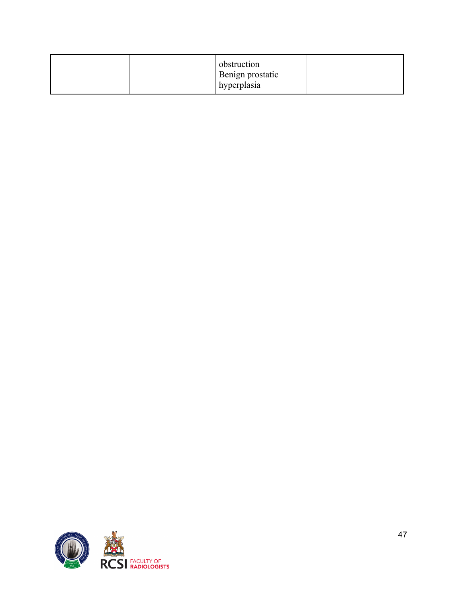|--|

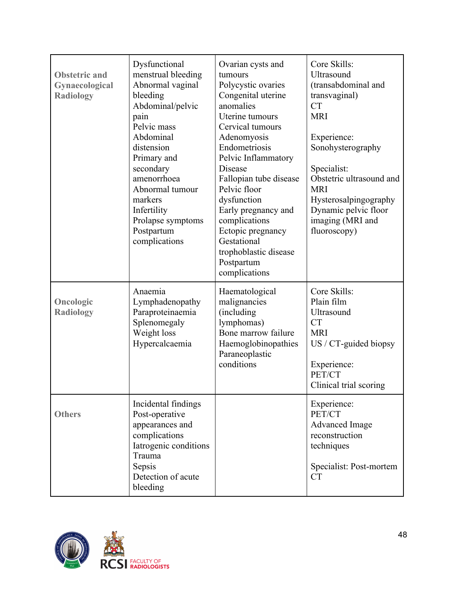| <b>Obstetric and</b><br>Gynaecological<br><b>Radiology</b> | Dysfunctional<br>menstrual bleeding<br>Abnormal vaginal<br>bleeding<br>Abdominal/pelvic<br>pain<br>Pelvic mass<br>Abdominal<br>distension<br>Primary and<br>secondary<br>amenorrhoea<br>Abnormal tumour<br>markers<br>Infertility<br>Prolapse symptoms<br>Postpartum<br>complications | Ovarian cysts and<br>tumours<br>Polycystic ovaries<br>Congenital uterine<br>anomalies<br>Uterine tumours<br>Cervical tumours<br>Adenomyosis<br>Endometriosis<br>Pelvic Inflammatory<br>Disease<br>Fallopian tube disease<br>Pelvic floor<br>dysfunction<br>Early pregnancy and<br>complications<br>Ectopic pregnancy<br>Gestational<br>trophoblastic disease<br>Postpartum<br>complications | Core Skills:<br>Ultrasound<br>(transabdominal and<br>transvaginal)<br><b>CT</b><br><b>MRI</b><br>Experience:<br>Sonohysterography<br>Specialist:<br>Obstetric ultrasound and<br><b>MRI</b><br>Hysterosalpingography<br>Dynamic pelvic floor<br>imaging (MRI and<br>fluoroscopy) |
|------------------------------------------------------------|---------------------------------------------------------------------------------------------------------------------------------------------------------------------------------------------------------------------------------------------------------------------------------------|---------------------------------------------------------------------------------------------------------------------------------------------------------------------------------------------------------------------------------------------------------------------------------------------------------------------------------------------------------------------------------------------|---------------------------------------------------------------------------------------------------------------------------------------------------------------------------------------------------------------------------------------------------------------------------------|
| Oncologic<br><b>Radiology</b>                              | Anaemia<br>Lymphadenopathy<br>Paraproteinaemia<br>Splenomegaly<br>Weight loss<br>Hypercalcaemia                                                                                                                                                                                       | Haematological<br>malignancies<br>(including<br>lymphomas)<br>Bone marrow failure<br>Haemoglobinopathies<br>Paraneoplastic<br>conditions                                                                                                                                                                                                                                                    | Core Skills:<br>Plain film<br>Ultrasound<br><b>CT</b><br><b>MRI</b><br>$US / CT$ -guided biopsy<br>Experience:<br>PET/CT<br>Clinical trial scoring                                                                                                                              |
| <b>Others</b>                                              | Incidental findings<br>Post-operative<br>appearances and<br>complications<br>Iatrogenic conditions<br>Trauma<br>Sepsis<br>Detection of acute<br>bleeding                                                                                                                              |                                                                                                                                                                                                                                                                                                                                                                                             | Experience:<br>PET/CT<br><b>Advanced Image</b><br>reconstruction<br>techniques<br>Specialist: Post-mortem<br><b>CT</b>                                                                                                                                                          |

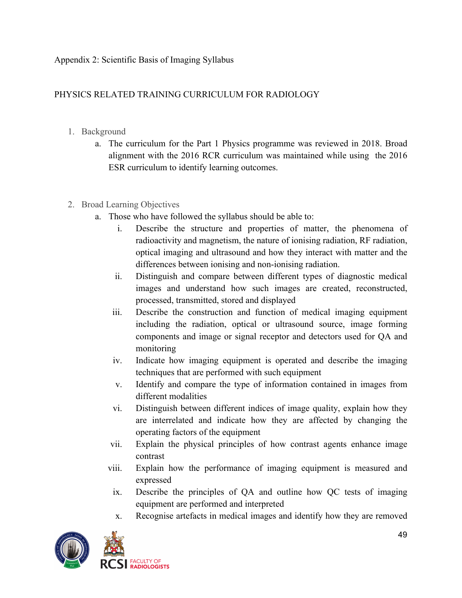Appendix 2: Scientific Basis of Imaging Syllabus

## PHYSICS RELATED TRAINING CURRICULUM FOR RADIOLOGY

- 1. Background
	- a. The curriculum for the Part 1 Physics programme was reviewed in 2018. Broad alignment with the 2016 RCR curriculum was maintained while using the 2016 ESR curriculum to identify learning outcomes.
- 2. Broad Learning Objectives
	- a. Those who have followed the syllabus should be able to:
		- i. Describe the structure and properties of matter, the phenomena of radioactivity and magnetism, the nature of ionising radiation, RF radiation, optical imaging and ultrasound and how they interact with matter and the differences between ionising and non-ionising radiation.
		- ii. Distinguish and compare between different types of diagnostic medical images and understand how such images are created, reconstructed, processed, transmitted, stored and displayed
		- iii. Describe the construction and function of medical imaging equipment including the radiation, optical or ultrasound source, image forming components and image or signal receptor and detectors used for QA and monitoring
		- iv. Indicate how imaging equipment is operated and describe the imaging techniques that are performed with such equipment
		- v. Identify and compare the type of information contained in images from different modalities
		- vi. Distinguish between different indices of image quality, explain how they are interrelated and indicate how they are affected by changing the operating factors of the equipment
		- vii. Explain the physical principles of how contrast agents enhance image contrast
		- viii. Explain how the performance of imaging equipment is measured and expressed
		- ix. Describe the principles of QA and outline how QC tests of imaging equipment are performed and interpreted
		- x. Recognise artefacts in medical images and identify how they are removed

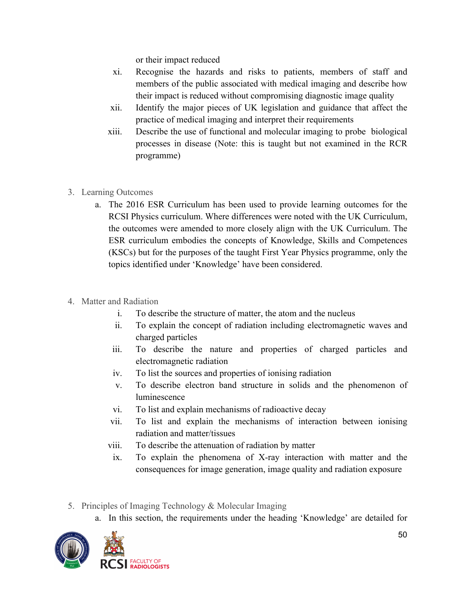or their impact reduced

- xi. Recognise the hazards and risks to patients, members of staff and members of the public associated with medical imaging and describe how their impact is reduced without compromising diagnostic image quality
- xii. Identify the major pieces of UK legislation and guidance that affect the practice of medical imaging and interpret their requirements
- xiii. Describe the use of functional and molecular imaging to probe biological processes in disease (Note: this is taught but not examined in the RCR programme)
- 3. Learning Outcomes
	- a. The 2016 ESR Curriculum has been used to provide learning outcomes for the RCSI Physics curriculum. Where differences were noted with the UK Curriculum, the outcomes were amended to more closely align with the UK Curriculum. The ESR curriculum embodies the concepts of Knowledge, Skills and Competences (KSCs) but for the purposes of the taught First Year Physics programme, only the topics identified under 'Knowledge' have been considered.
- 4. Matter and Radiation
	- i. To describe the structure of matter, the atom and the nucleus
	- ii. To explain the concept of radiation including electromagnetic waves and charged particles
	- iii. To describe the nature and properties of charged particles and electromagnetic radiation
	- iv. To list the sources and properties of ionising radiation
	- v. To describe electron band structure in solids and the phenomenon of luminescence
	- vi. To list and explain mechanisms of radioactive decay
	- vii. To list and explain the mechanisms of interaction between ionising radiation and matter/tissues
	- viii. To describe the attenuation of radiation by matter
	- ix. To explain the phenomena of X-ray interaction with matter and the consequences for image generation, image quality and radiation exposure
- 5. Principles of Imaging Technology & Molecular Imaging
	- a. In this section, the requirements under the heading 'Knowledge' are detailed for

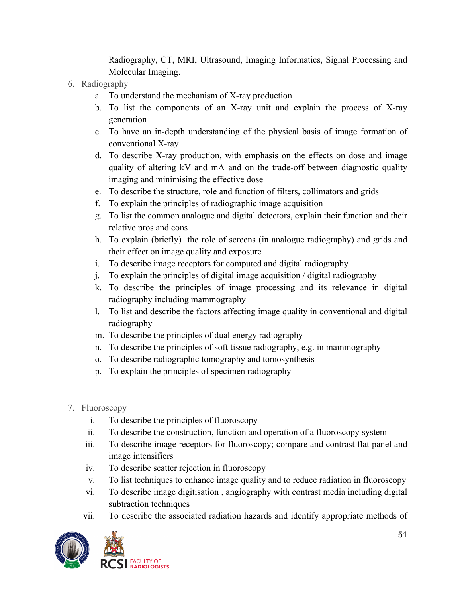Radiography, CT, MRI, Ultrasound, Imaging Informatics, Signal Processing and Molecular Imaging.

- 6. Radiography
	- a. To understand the mechanism of X-ray production
	- b. To list the components of an X-ray unit and explain the process of X-ray generation
	- c. To have an in-depth understanding of the physical basis of image formation of conventional X-ray
	- d. To describe X-ray production, with emphasis on the effects on dose and image quality of altering kV and mA and on the trade-off between diagnostic quality imaging and minimising the effective dose
	- e. To describe the structure, role and function of filters, collimators and grids
	- f. To explain the principles of radiographic image acquisition
	- g. To list the common analogue and digital detectors, explain their function and their relative pros and cons
	- h. To explain (briefly) the role of screens (in analogue radiography) and grids and their effect on image quality and exposure
	- i. To describe image receptors for computed and digital radiography
	- j. To explain the principles of digital image acquisition / digital radiography
	- k. To describe the principles of image processing and its relevance in digital radiography including mammography
	- l. To list and describe the factors affecting image quality in conventional and digital radiography
	- m. To describe the principles of dual energy radiography
	- n. To describe the principles of soft tissue radiography, e.g. in mammography
	- o. To describe radiographic tomography and tomosynthesis
	- p. To explain the principles of specimen radiography
- 7. Fluoroscopy
	- i. To describe the principles of fluoroscopy
	- ii. To describe the construction, function and operation of a fluoroscopy system
	- iii. To describe image receptors for fluoroscopy; compare and contrast flat panel and image intensifiers
	- iv. To describe scatter rejection in fluoroscopy
	- v. To list techniques to enhance image quality and to reduce radiation in fluoroscopy
	- vi. To describe image digitisation , angiography with contrast media including digital subtraction techniques
	- vii. To describe the associated radiation hazards and identify appropriate methods of

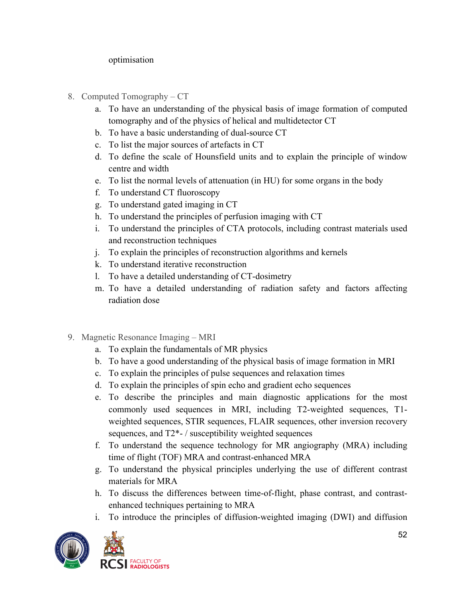#### optimisation

- 8. Computed Tomography CT
	- a. To have an understanding of the physical basis of image formation of computed tomography and of the physics of helical and multidetector CT
	- b. To have a basic understanding of dual-source CT
	- c. To list the major sources of artefacts in CT
	- d. To define the scale of Hounsfield units and to explain the principle of window centre and width
	- e. To list the normal levels of attenuation (in HU) for some organs in the body
	- f. To understand CT fluoroscopy
	- g. To understand gated imaging in CT
	- h. To understand the principles of perfusion imaging with CT
	- i. To understand the principles of CTA protocols, including contrast materials used and reconstruction techniques
	- j. To explain the principles of reconstruction algorithms and kernels
	- k. To understand iterative reconstruction
	- l. To have a detailed understanding of CT-dosimetry
	- m. To have a detailed understanding of radiation safety and factors affecting radiation dose
- 9. Magnetic Resonance Imaging MRI
	- a. To explain the fundamentals of MR physics
	- b. To have a good understanding of the physical basis of image formation in MRI
	- c. To explain the principles of pulse sequences and relaxation times
	- d. To explain the principles of spin echo and gradient echo sequences
	- e. To describe the principles and main diagnostic applications for the most commonly used sequences in MRI, including T2-weighted sequences, T1 weighted sequences, STIR sequences, FLAIR sequences, other inversion recovery sequences, and T2\*- / susceptibility weighted sequences
	- f. To understand the sequence technology for MR angiography (MRA) including time of flight (TOF) MRA and contrast-enhanced MRA
	- g. To understand the physical principles underlying the use of different contrast materials for MRA
	- h. To discuss the differences between time-of-flight, phase contrast, and contrastenhanced techniques pertaining to MRA
	- i. To introduce the principles of diffusion-weighted imaging (DWI) and diffusion

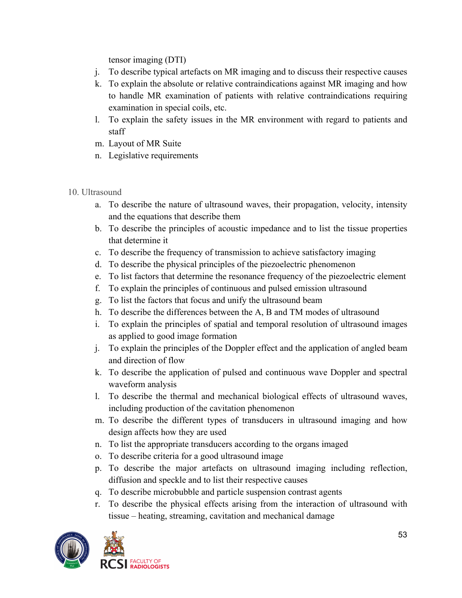tensor imaging (DTI)

- j. To describe typical artefacts on MR imaging and to discuss their respective causes
- k. To explain the absolute or relative contraindications against MR imaging and how to handle MR examination of patients with relative contraindications requiring examination in special coils, etc.
- l. To explain the safety issues in the MR environment with regard to patients and staff
- m. Layout of MR Suite
- n. Legislative requirements
- 10. Ultrasound
	- a. To describe the nature of ultrasound waves, their propagation, velocity, intensity and the equations that describe them
	- b. To describe the principles of acoustic impedance and to list the tissue properties that determine it
	- c. To describe the frequency of transmission to achieve satisfactory imaging
	- d. To describe the physical principles of the piezoelectric phenomenon
	- e. To list factors that determine the resonance frequency of the piezoelectric element
	- f. To explain the principles of continuous and pulsed emission ultrasound
	- g. To list the factors that focus and unify the ultrasound beam
	- h. To describe the differences between the A, B and TM modes of ultrasound
	- i. To explain the principles of spatial and temporal resolution of ultrasound images as applied to good image formation
	- j. To explain the principles of the Doppler effect and the application of angled beam and direction of flow
	- k. To describe the application of pulsed and continuous wave Doppler and spectral waveform analysis
	- l. To describe the thermal and mechanical biological effects of ultrasound waves, including production of the cavitation phenomenon
	- m. To describe the different types of transducers in ultrasound imaging and how design affects how they are used
	- n. To list the appropriate transducers according to the organs imaged
	- o. To describe criteria for a good ultrasound image
	- p. To describe the major artefacts on ultrasound imaging including reflection, diffusion and speckle and to list their respective causes
	- q. To describe microbubble and particle suspension contrast agents
	- r. To describe the physical effects arising from the interaction of ultrasound with tissue – heating, streaming, cavitation and mechanical damage

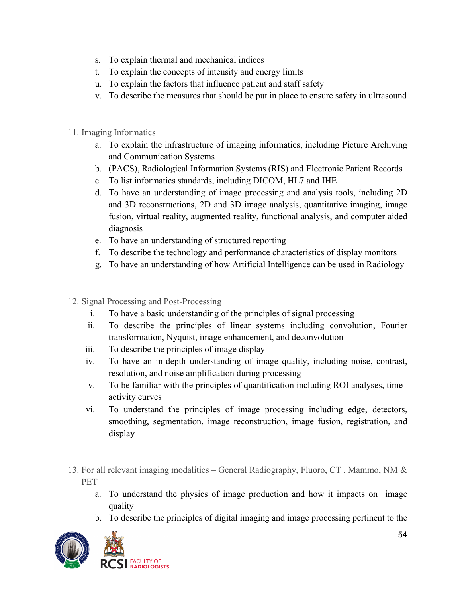- s. To explain thermal and mechanical indices
- t. To explain the concepts of intensity and energy limits
- u. To explain the factors that influence patient and staff safety
- v. To describe the measures that should be put in place to ensure safety in ultrasound
- 11. Imaging Informatics
	- a. To explain the infrastructure of imaging informatics, including Picture Archiving and Communication Systems
	- b. (PACS), Radiological Information Systems (RIS) and Electronic Patient Records
	- c. To list informatics standards, including DICOM, HL7 and IHE
	- d. To have an understanding of image processing and analysis tools, including 2D and 3D reconstructions, 2D and 3D image analysis, quantitative imaging, image fusion, virtual reality, augmented reality, functional analysis, and computer aided diagnosis
	- e. To have an understanding of structured reporting
	- f. To describe the technology and performance characteristics of display monitors
	- g. To have an understanding of how Artificial Intelligence can be used in Radiology
- 12. Signal Processing and Post-Processing
	- i. To have a basic understanding of the principles of signal processing
	- ii. To describe the principles of linear systems including convolution, Fourier transformation, Nyquist, image enhancement, and deconvolution
	- iii. To describe the principles of image display
	- iv. To have an in-depth understanding of image quality, including noise, contrast, resolution, and noise amplification during processing
	- v. To be familiar with the principles of quantification including ROI analyses, time– activity curves
	- vi. To understand the principles of image processing including edge, detectors, smoothing, segmentation, image reconstruction, image fusion, registration, and display
- 13. For all relevant imaging modalities General Radiography, Fluoro, CT , Mammo, NM & PET
	- a. To understand the physics of image production and how it impacts on image quality
	- b. To describe the principles of digital imaging and image processing pertinent to the

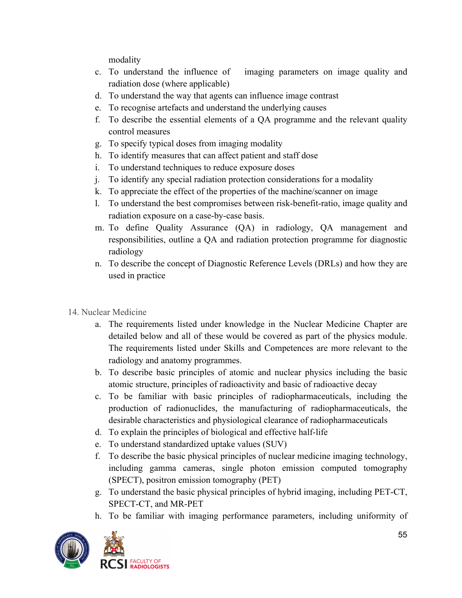modality

- c. To understand the influence of imaging parameters on image quality and radiation dose (where applicable)
- d. To understand the way that agents can influence image contrast
- e. To recognise artefacts and understand the underlying causes
- f. To describe the essential elements of a QA programme and the relevant quality control measures
- g. To specify typical doses from imaging modality
- h. To identify measures that can affect patient and staff dose
- i. To understand techniques to reduce exposure doses
- j. To identify any special radiation protection considerations for a modality
- k. To appreciate the effect of the properties of the machine/scanner on image
- l. To understand the best compromises between risk-benefit-ratio, image quality and radiation exposure on a case-by-case basis.
- m. To define Quality Assurance (QA) in radiology, QA management and responsibilities, outline a QA and radiation protection programme for diagnostic radiology
- n. To describe the concept of Diagnostic Reference Levels (DRLs) and how they are used in practice
- 14. Nuclear Medicine
	- a. The requirements listed under knowledge in the Nuclear Medicine Chapter are detailed below and all of these would be covered as part of the physics module. The requirements listed under Skills and Competences are more relevant to the radiology and anatomy programmes.
	- b. To describe basic principles of atomic and nuclear physics including the basic atomic structure, principles of radioactivity and basic of radioactive decay
	- c. To be familiar with basic principles of radiopharmaceuticals, including the production of radionuclides, the manufacturing of radiopharmaceuticals, the desirable characteristics and physiological clearance of radiopharmaceuticals
	- d. To explain the principles of biological and effective half-life
	- e. To understand standardized uptake values (SUV)
	- f. To describe the basic physical principles of nuclear medicine imaging technology, including gamma cameras, single photon emission computed tomography (SPECT), positron emission tomography (PET)
	- g. To understand the basic physical principles of hybrid imaging, including PET-CT, SPECT-CT, and MR-PET
	- h. To be familiar with imaging performance parameters, including uniformity of

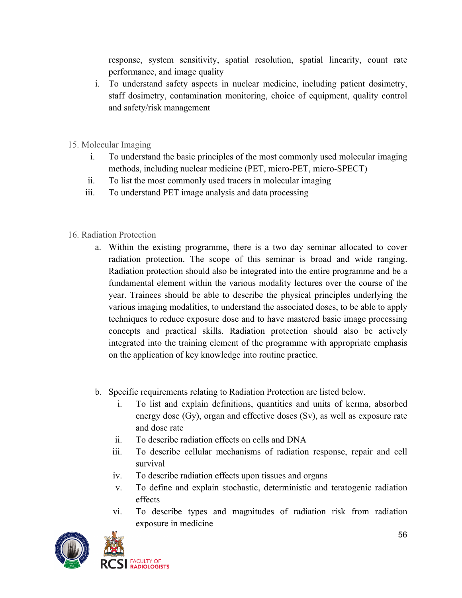response, system sensitivity, spatial resolution, spatial linearity, count rate performance, and image quality

- i. To understand safety aspects in nuclear medicine, including patient dosimetry, staff dosimetry, contamination monitoring, choice of equipment, quality control and safety/risk management
- 15. Molecular Imaging
	- i. To understand the basic principles of the most commonly used molecular imaging methods, including nuclear medicine (PET, micro-PET, micro-SPECT)
	- ii. To list the most commonly used tracers in molecular imaging
	- iii. To understand PET image analysis and data processing
- 16. Radiation Protection
	- a. Within the existing programme, there is a two day seminar allocated to cover radiation protection. The scope of this seminar is broad and wide ranging. Radiation protection should also be integrated into the entire programme and be a fundamental element within the various modality lectures over the course of the year. Trainees should be able to describe the physical principles underlying the various imaging modalities, to understand the associated doses, to be able to apply techniques to reduce exposure dose and to have mastered basic image processing concepts and practical skills. Radiation protection should also be actively integrated into the training element of the programme with appropriate emphasis on the application of key knowledge into routine practice.
	- b. Specific requirements relating to Radiation Protection are listed below.
		- i. To list and explain definitions, quantities and units of kerma, absorbed energy dose (Gy), organ and effective doses (Sv), as well as exposure rate and dose rate
		- ii. To describe radiation effects on cells and DNA
		- iii. To describe cellular mechanisms of radiation response, repair and cell survival
		- iv. To describe radiation effects upon tissues and organs
		- v. To define and explain stochastic, deterministic and teratogenic radiation effects
		- vi. To describe types and magnitudes of radiation risk from radiation exposure in medicine